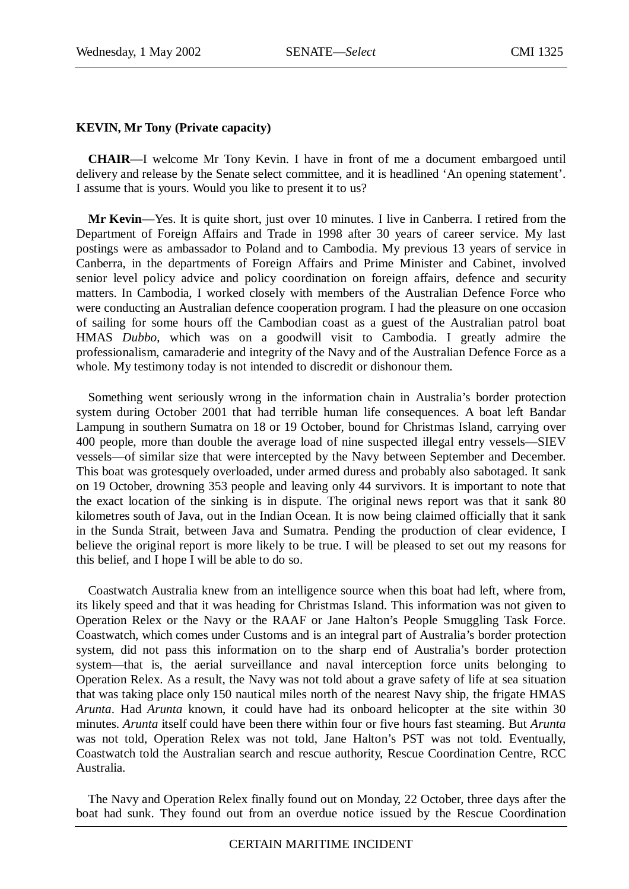# **KEVIN, Mr Tony (Private capacity)**

**CHAIR**—I welcome Mr Tony Kevin. I have in front of me a document embargoed until delivery and release by the Senate select committee, and it is headlined 'An opening statement'. I assume that is yours. Would you like to present it to us?

**Mr Kevin**—Yes. It is quite short, just over 10 minutes. I live in Canberra. I retired from the Department of Foreign Affairs and Trade in 1998 after 30 years of career service. My last postings were as ambassador to Poland and to Cambodia. My previous 13 years of service in Canberra, in the departments of Foreign Affairs and Prime Minister and Cabinet, involved senior level policy advice and policy coordination on foreign affairs, defence and security matters. In Cambodia, I worked closely with members of the Australian Defence Force who were conducting an Australian defence cooperation program. I had the pleasure on one occasion of sailing for some hours off the Cambodian coast as a guest of the Australian patrol boat HMAS *Dubbo*, which was on a goodwill visit to Cambodia. I greatly admire the professionalism, camaraderie and integrity of the Navy and of the Australian Defence Force as a whole. My testimony today is not intended to discredit or dishonour them.

Something went seriously wrong in the information chain in Australia's border protection system during October 2001 that had terrible human life consequences. A boat left Bandar Lampung in southern Sumatra on 18 or 19 October, bound for Christmas Island, carrying over 400 people, more than double the average load of nine suspected illegal entry vessels—SIEV vessels—of similar size that were intercepted by the Navy between September and December. This boat was grotesquely overloaded, under armed duress and probably also sabotaged. It sank on 19 October, drowning 353 people and leaving only 44 survivors. It is important to note that the exact location of the sinking is in dispute. The original news report was that it sank 80 kilometres south of Java, out in the Indian Ocean. It is now being claimed officially that it sank in the Sunda Strait, between Java and Sumatra. Pending the production of clear evidence, I believe the original report is more likely to be true. I will be pleased to set out my reasons for this belief, and I hope I will be able to do so.

Coastwatch Australia knew from an intelligence source when this boat had left, where from, its likely speed and that it was heading for Christmas Island. This information was not given to Operation Relex or the Navy or the RAAF or Jane Halton's People Smuggling Task Force. Coastwatch, which comes under Customs and is an integral part of Australia's border protection system, did not pass this information on to the sharp end of Australia's border protection system—that is, the aerial surveillance and naval interception force units belonging to Operation Relex. As a result, the Navy was not told about a grave safety of life at sea situation that was taking place only 150 nautical miles north of the nearest Navy ship, the frigate HMAS *Arunta*. Had *Arunta* known, it could have had its onboard helicopter at the site within 30 minutes. *Arunta* itself could have been there within four or five hours fast steaming. But *Arunta* was not told, Operation Relex was not told, Jane Halton's PST was not told. Eventually, Coastwatch told the Australian search and rescue authority, Rescue Coordination Centre, RCC Australia.

The Navy and Operation Relex finally found out on Monday, 22 October, three days after the boat had sunk. They found out from an overdue notice issued by the Rescue Coordination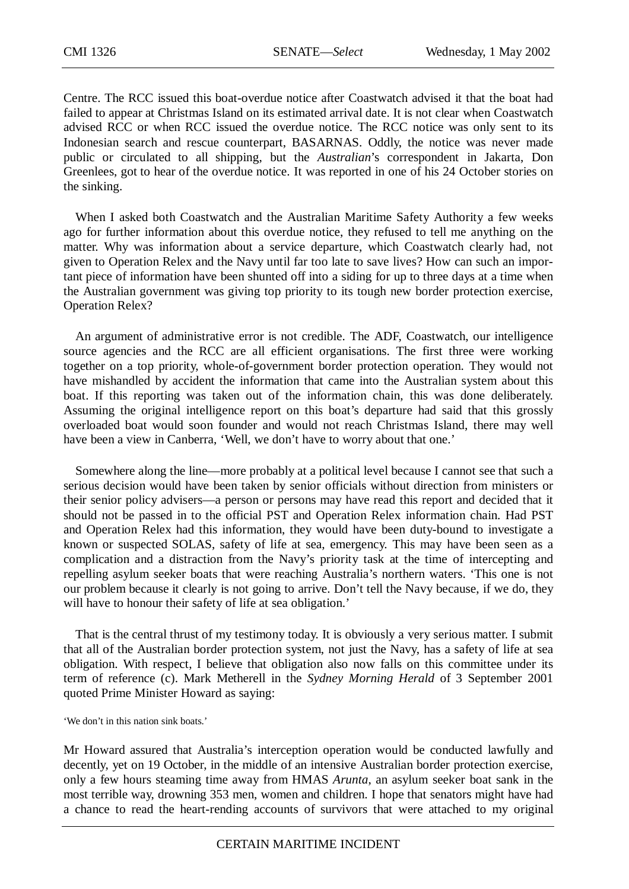Centre. The RCC issued this boat-overdue notice after Coastwatch advised it that the boat had failed to appear at Christmas Island on its estimated arrival date. It is not clear when Coastwatch advised RCC or when RCC issued the overdue notice. The RCC notice was only sent to its Indonesian search and rescue counterpart, BASARNAS. Oddly, the notice was never made public or circulated to all shipping, but the *Australian*'s correspondent in Jakarta, Don Greenlees, got to hear of the overdue notice. It was reported in one of his 24 October stories on the sinking.

When I asked both Coastwatch and the Australian Maritime Safety Authority a few weeks ago for further information about this overdue notice, they refused to tell me anything on the matter. Why was information about a service departure, which Coastwatch clearly had, not given to Operation Relex and the Navy until far too late to save lives? How can such an important piece of information have been shunted off into a siding for up to three days at a time when the Australian government was giving top priority to its tough new border protection exercise, Operation Relex?

An argument of administrative error is not credible. The ADF, Coastwatch, our intelligence source agencies and the RCC are all efficient organisations. The first three were working together on a top priority, whole-of-government border protection operation. They would not have mishandled by accident the information that came into the Australian system about this boat. If this reporting was taken out of the information chain, this was done deliberately. Assuming the original intelligence report on this boat's departure had said that this grossly overloaded boat would soon founder and would not reach Christmas Island, there may well have been a view in Canberra, 'Well, we don't have to worry about that one.'

Somewhere along the line—more probably at a political level because I cannot see that such a serious decision would have been taken by senior officials without direction from ministers or their senior policy advisers—a person or persons may have read this report and decided that it should not be passed in to the official PST and Operation Relex information chain. Had PST and Operation Relex had this information, they would have been duty-bound to investigate a known or suspected SOLAS, safety of life at sea, emergency. This may have been seen as a complication and a distraction from the Navy's priority task at the time of intercepting and repelling asylum seeker boats that were reaching Australia's northern waters. 'This one is not our problem because it clearly is not going to arrive. Don't tell the Navy because, if we do, they will have to honour their safety of life at sea obligation.'

That is the central thrust of my testimony today. It is obviously a very serious matter. I submit that all of the Australian border protection system, not just the Navy, has a safety of life at sea obligation. With respect, I believe that obligation also now falls on this committee under its term of reference (c). Mark Metherell in the *Sydney Morning Herald* of 3 September 2001 quoted Prime Minister Howard as saying:

'We don't in this nation sink boats.'

Mr Howard assured that Australia's interception operation would be conducted lawfully and decently, yet on 19 October, in the middle of an intensive Australian border protection exercise, only a few hours steaming time away from HMAS *Arunta*, an asylum seeker boat sank in the most terrible way, drowning 353 men, women and children. I hope that senators might have had a chance to read the heart-rending accounts of survivors that were attached to my original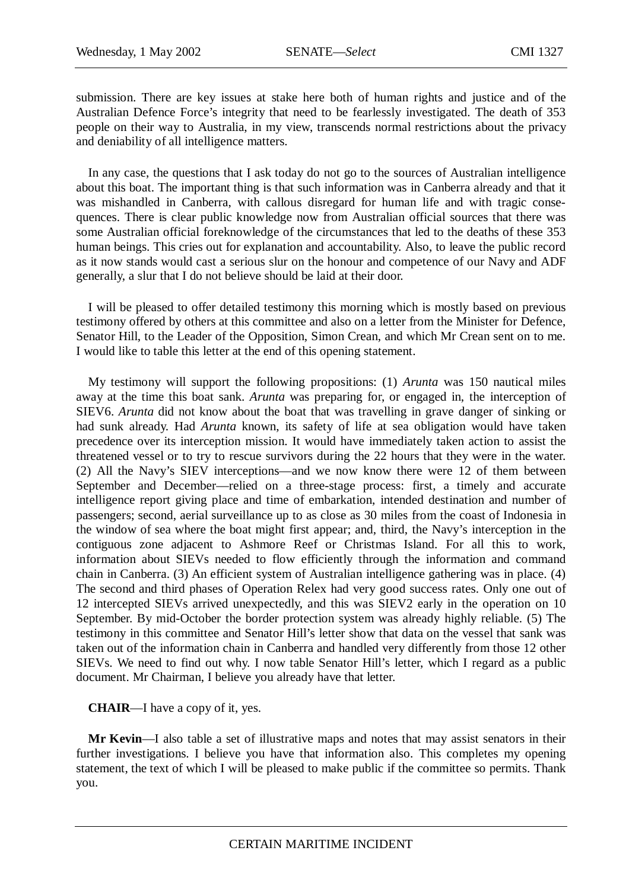submission. There are key issues at stake here both of human rights and justice and of the Australian Defence Force's integrity that need to be fearlessly investigated. The death of 353 people on their way to Australia, in my view, transcends normal restrictions about the privacy and deniability of all intelligence matters.

In any case, the questions that I ask today do not go to the sources of Australian intelligence about this boat. The important thing is that such information was in Canberra already and that it was mishandled in Canberra, with callous disregard for human life and with tragic consequences. There is clear public knowledge now from Australian official sources that there was some Australian official foreknowledge of the circumstances that led to the deaths of these 353 human beings. This cries out for explanation and accountability. Also, to leave the public record as it now stands would cast a serious slur on the honour and competence of our Navy and ADF generally, a slur that I do not believe should be laid at their door.

I will be pleased to offer detailed testimony this morning which is mostly based on previous testimony offered by others at this committee and also on a letter from the Minister for Defence, Senator Hill, to the Leader of the Opposition, Simon Crean, and which Mr Crean sent on to me. I would like to table this letter at the end of this opening statement.

My testimony will support the following propositions: (1) *Arunta* was 150 nautical miles away at the time this boat sank. *Arunta* was preparing for, or engaged in, the interception of SIEV6. *Arunta* did not know about the boat that was travelling in grave danger of sinking or had sunk already. Had *Arunta* known, its safety of life at sea obligation would have taken precedence over its interception mission. It would have immediately taken action to assist the threatened vessel or to try to rescue survivors during the 22 hours that they were in the water. (2) All the Navy's SIEV interceptions—and we now know there were 12 of them between September and December—relied on a three-stage process: first, a timely and accurate intelligence report giving place and time of embarkation, intended destination and number of passengers; second, aerial surveillance up to as close as 30 miles from the coast of Indonesia in the window of sea where the boat might first appear; and, third, the Navy's interception in the contiguous zone adjacent to Ashmore Reef or Christmas Island. For all this to work, information about SIEVs needed to flow efficiently through the information and command chain in Canberra. (3) An efficient system of Australian intelligence gathering was in place. (4) The second and third phases of Operation Relex had very good success rates. Only one out of 12 intercepted SIEVs arrived unexpectedly, and this was SIEV2 early in the operation on 10 September. By mid-October the border protection system was already highly reliable. (5) The testimony in this committee and Senator Hill's letter show that data on the vessel that sank was taken out of the information chain in Canberra and handled very differently from those 12 other SIEVs. We need to find out why. I now table Senator Hill's letter, which I regard as a public document. Mr Chairman, I believe you already have that letter.

**CHAIR**—I have a copy of it, yes.

**Mr Kevin**—I also table a set of illustrative maps and notes that may assist senators in their further investigations. I believe you have that information also. This completes my opening statement, the text of which I will be pleased to make public if the committee so permits. Thank you.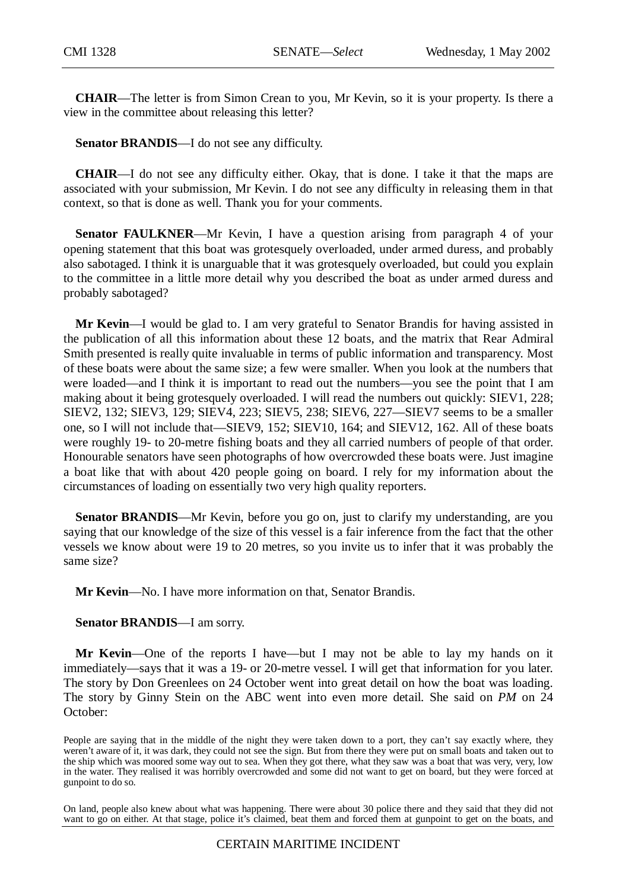**CHAIR**—The letter is from Simon Crean to you, Mr Kevin, so it is your property. Is there a view in the committee about releasing this letter?

**Senator BRANDIS**—I do not see any difficulty.

**CHAIR**—I do not see any difficulty either. Okay, that is done. I take it that the maps are associated with your submission, Mr Kevin. I do not see any difficulty in releasing them in that context, so that is done as well. Thank you for your comments.

**Senator FAULKNER—Mr** Kevin, I have a question arising from paragraph 4 of your opening statement that this boat was grotesquely overloaded, under armed duress, and probably also sabotaged. I think it is unarguable that it was grotesquely overloaded, but could you explain to the committee in a little more detail why you described the boat as under armed duress and probably sabotaged?

**Mr Kevin**—I would be glad to. I am very grateful to Senator Brandis for having assisted in the publication of all this information about these 12 boats, and the matrix that Rear Admiral Smith presented is really quite invaluable in terms of public information and transparency. Most of these boats were about the same size; a few were smaller. When you look at the numbers that were loaded—and I think it is important to read out the numbers—you see the point that I am making about it being grotesquely overloaded. I will read the numbers out quickly: SIEV1, 228; SIEV2, 132; SIEV3, 129; SIEV4, 223; SIEV5, 238; SIEV6, 227—SIEV7 seems to be a smaller one, so I will not include that—SIEV9, 152; SIEV10, 164; and SIEV12, 162. All of these boats were roughly 19- to 20-metre fishing boats and they all carried numbers of people of that order. Honourable senators have seen photographs of how overcrowded these boats were. Just imagine a boat like that with about 420 people going on board. I rely for my information about the circumstances of loading on essentially two very high quality reporters.

**Senator BRANDIS—Mr** Kevin, before you go on, just to clarify my understanding, are you saying that our knowledge of the size of this vessel is a fair inference from the fact that the other vessels we know about were 19 to 20 metres, so you invite us to infer that it was probably the same size?

**Mr Kevin**—No. I have more information on that, Senator Brandis.

#### **Senator BRANDIS**—I am sorry.

**Mr Kevin**—One of the reports I have—but I may not be able to lay my hands on it immediately—says that it was a 19- or 20-metre vessel. I will get that information for you later. The story by Don Greenlees on 24 October went into great detail on how the boat was loading. The story by Ginny Stein on the ABC went into even more detail. She said on *PM* on 24 October:

People are saying that in the middle of the night they were taken down to a port, they can't say exactly where, they weren't aware of it, it was dark, they could not see the sign. But from there they were put on small boats and taken out to the ship which was moored some way out to sea. When they got there, what they saw was a boat that was very, very, low in the water. They realised it was horribly overcrowded and some did not want to get on board, but they were forced at gunpoint to do so.

On land, people also knew about what was happening. There were about 30 police there and they said that they did not want to go on either. At that stage, police it's claimed, beat them and forced them at gunpoint to get on the boats, and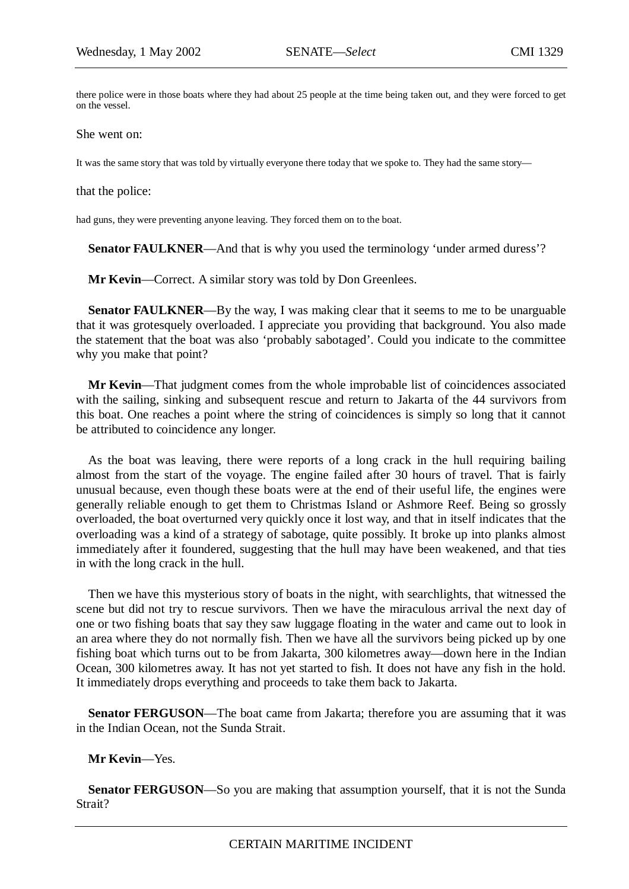there police were in those boats where they had about 25 people at the time being taken out, and they were forced to get on the vessel.

She went on:

It was the same story that was told by virtually everyone there today that we spoke to. They had the same story—

that the police:

had guns, they were preventing anyone leaving. They forced them on to the boat.

**Senator FAULKNER—And that is why you used the terminology 'under armed duress'?** 

**Mr Kevin—Correct.** A similar story was told by Don Greenlees.

**Senator FAULKNER**—By the way, I was making clear that it seems to me to be unarguable that it was grotesquely overloaded. I appreciate you providing that background. You also made the statement that the boat was also 'probably sabotaged'. Could you indicate to the committee why you make that point?

**Mr Kevin**—That judgment comes from the whole improbable list of coincidences associated with the sailing, sinking and subsequent rescue and return to Jakarta of the 44 survivors from this boat. One reaches a point where the string of coincidences is simply so long that it cannot be attributed to coincidence any longer.

As the boat was leaving, there were reports of a long crack in the hull requiring bailing almost from the start of the voyage. The engine failed after 30 hours of travel. That is fairly unusual because, even though these boats were at the end of their useful life, the engines were generally reliable enough to get them to Christmas Island or Ashmore Reef. Being so grossly overloaded, the boat overturned very quickly once it lost way, and that in itself indicates that the overloading was a kind of a strategy of sabotage, quite possibly. It broke up into planks almost immediately after it foundered, suggesting that the hull may have been weakened, and that ties in with the long crack in the hull.

Then we have this mysterious story of boats in the night, with searchlights, that witnessed the scene but did not try to rescue survivors. Then we have the miraculous arrival the next day of one or two fishing boats that say they saw luggage floating in the water and came out to look in an area where they do not normally fish. Then we have all the survivors being picked up by one fishing boat which turns out to be from Jakarta, 300 kilometres away—down here in the Indian Ocean, 300 kilometres away. It has not yet started to fish. It does not have any fish in the hold. It immediately drops everything and proceeds to take them back to Jakarta.

**Senator FERGUSON**—The boat came from Jakarta; therefore you are assuming that it was in the Indian Ocean, not the Sunda Strait.

### **Mr Kevin**—Yes.

**Senator FERGUSON**—So you are making that assumption yourself, that it is not the Sunda Strait?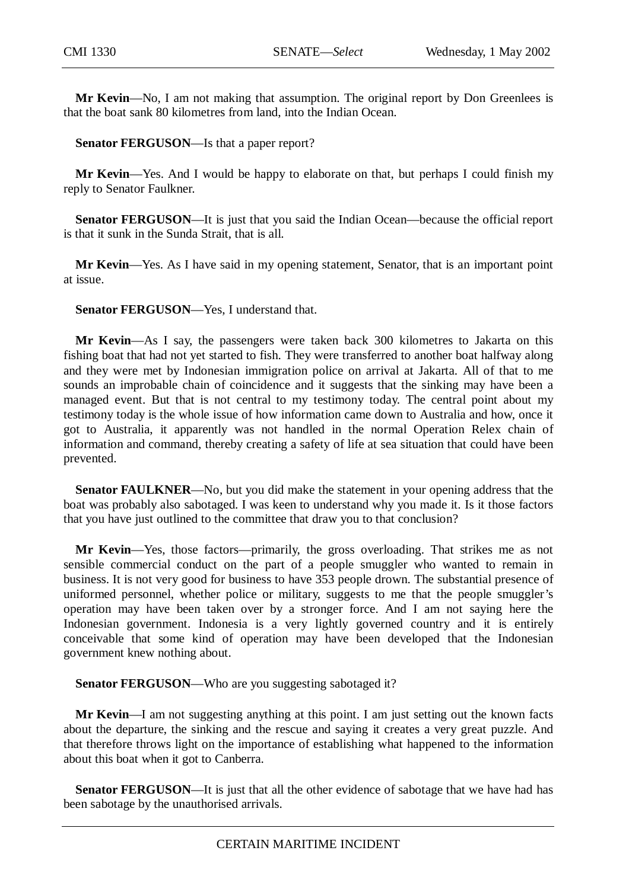**Mr Kevin**—No, I am not making that assumption. The original report by Don Greenlees is that the boat sank 80 kilometres from land, into the Indian Ocean.

# **Senator FERGUSON**—Is that a paper report?

**Mr Kevin**—Yes. And I would be happy to elaborate on that, but perhaps I could finish my reply to Senator Faulkner.

**Senator FERGUSON**—It is just that you said the Indian Ocean—because the official report is that it sunk in the Sunda Strait, that is all.

**Mr Kevin**—Yes. As I have said in my opening statement, Senator, that is an important point at issue.

# **Senator FERGUSON**—Yes, I understand that.

**Mr Kevin**—As I say, the passengers were taken back 300 kilometres to Jakarta on this fishing boat that had not yet started to fish. They were transferred to another boat halfway along and they were met by Indonesian immigration police on arrival at Jakarta. All of that to me sounds an improbable chain of coincidence and it suggests that the sinking may have been a managed event. But that is not central to my testimony today. The central point about my testimony today is the whole issue of how information came down to Australia and how, once it got to Australia, it apparently was not handled in the normal Operation Relex chain of information and command, thereby creating a safety of life at sea situation that could have been prevented.

**Senator FAULKNER—No**, but you did make the statement in your opening address that the boat was probably also sabotaged. I was keen to understand why you made it. Is it those factors that you have just outlined to the committee that draw you to that conclusion?

**Mr Kevin**—Yes, those factors—primarily, the gross overloading. That strikes me as not sensible commercial conduct on the part of a people smuggler who wanted to remain in business. It is not very good for business to have 353 people drown. The substantial presence of uniformed personnel, whether police or military, suggests to me that the people smuggler's operation may have been taken over by a stronger force. And I am not saying here the Indonesian government. Indonesia is a very lightly governed country and it is entirely conceivable that some kind of operation may have been developed that the Indonesian government knew nothing about.

**Senator FERGUSON**—Who are you suggesting sabotaged it?

**Mr Kevin**—I am not suggesting anything at this point. I am just setting out the known facts about the departure, the sinking and the rescue and saying it creates a very great puzzle. And that therefore throws light on the importance of establishing what happened to the information about this boat when it got to Canberra.

**Senator FERGUSON**—It is just that all the other evidence of sabotage that we have had has been sabotage by the unauthorised arrivals.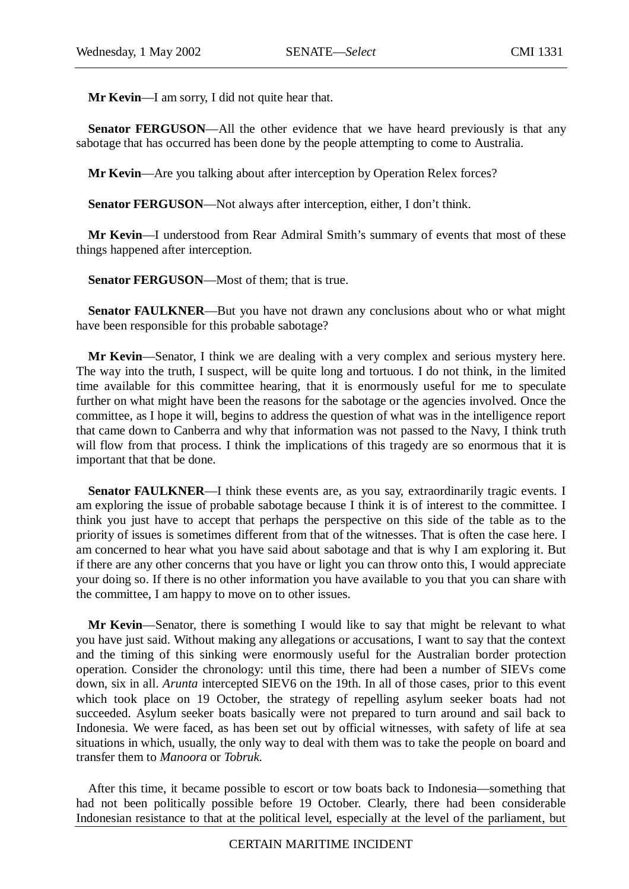**Mr Kevin**—I am sorry, I did not quite hear that.

**Senator FERGUSON—All** the other evidence that we have heard previously is that any sabotage that has occurred has been done by the people attempting to come to Australia.

**Mr Kevin**—Are you talking about after interception by Operation Relex forces?

**Senator FERGUSON**—Not always after interception, either, I don't think.

**Mr Kevin**—I understood from Rear Admiral Smith's summary of events that most of these things happened after interception.

**Senator FERGUSON**—Most of them; that is true.

**Senator FAULKNER**—But you have not drawn any conclusions about who or what might have been responsible for this probable sabotage?

**Mr Kevin**—Senator, I think we are dealing with a very complex and serious mystery here. The way into the truth, I suspect, will be quite long and tortuous. I do not think, in the limited time available for this committee hearing, that it is enormously useful for me to speculate further on what might have been the reasons for the sabotage or the agencies involved. Once the committee, as I hope it will, begins to address the question of what was in the intelligence report that came down to Canberra and why that information was not passed to the Navy, I think truth will flow from that process. I think the implications of this tragedy are so enormous that it is important that that be done.

**Senator FAULKNER—I** think these events are, as you say, extraordinarily tragic events. I am exploring the issue of probable sabotage because I think it is of interest to the committee. I think you just have to accept that perhaps the perspective on this side of the table as to the priority of issues is sometimes different from that of the witnesses. That is often the case here. I am concerned to hear what you have said about sabotage and that is why I am exploring it. But if there are any other concerns that you have or light you can throw onto this, I would appreciate your doing so. If there is no other information you have available to you that you can share with the committee, I am happy to move on to other issues.

**Mr Kevin**—Senator, there is something I would like to say that might be relevant to what you have just said. Without making any allegations or accusations, I want to say that the context and the timing of this sinking were enormously useful for the Australian border protection operation. Consider the chronology: until this time, there had been a number of SIEVs come down, six in all. *Arunta* intercepted SIEV6 on the 19th. In all of those cases, prior to this event which took place on 19 October, the strategy of repelling asylum seeker boats had not succeeded. Asylum seeker boats basically were not prepared to turn around and sail back to Indonesia. We were faced, as has been set out by official witnesses, with safety of life at sea situations in which, usually, the only way to deal with them was to take the people on board and transfer them to *Manoora* or *Tobruk.*

After this time, it became possible to escort or tow boats back to Indonesia—something that had not been politically possible before 19 October. Clearly, there had been considerable Indonesian resistance to that at the political level, especially at the level of the parliament, but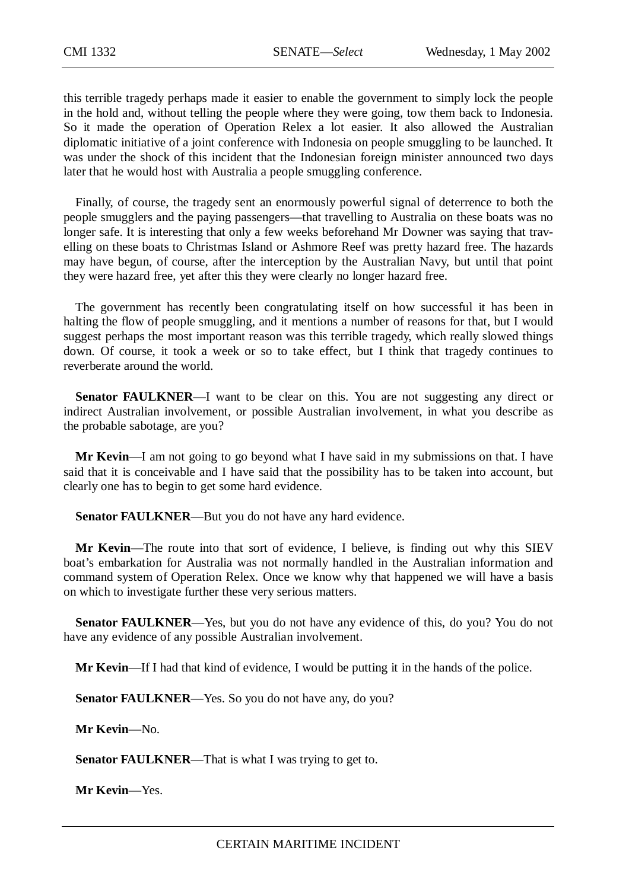this terrible tragedy perhaps made it easier to enable the government to simply lock the people in the hold and, without telling the people where they were going, tow them back to Indonesia. So it made the operation of Operation Relex a lot easier. It also allowed the Australian diplomatic initiative of a joint conference with Indonesia on people smuggling to be launched. It was under the shock of this incident that the Indonesian foreign minister announced two days later that he would host with Australia a people smuggling conference.

Finally, of course, the tragedy sent an enormously powerful signal of deterrence to both the people smugglers and the paying passengers—that travelling to Australia on these boats was no longer safe. It is interesting that only a few weeks beforehand Mr Downer was saying that travelling on these boats to Christmas Island or Ashmore Reef was pretty hazard free. The hazards may have begun, of course, after the interception by the Australian Navy, but until that point they were hazard free, yet after this they were clearly no longer hazard free.

The government has recently been congratulating itself on how successful it has been in halting the flow of people smuggling, and it mentions a number of reasons for that, but I would suggest perhaps the most important reason was this terrible tragedy, which really slowed things down. Of course, it took a week or so to take effect, but I think that tragedy continues to reverberate around the world.

**Senator FAULKNER—I** want to be clear on this. You are not suggesting any direct or indirect Australian involvement, or possible Australian involvement, in what you describe as the probable sabotage, are you?

**Mr Kevin**—I am not going to go beyond what I have said in my submissions on that. I have said that it is conceivable and I have said that the possibility has to be taken into account, but clearly one has to begin to get some hard evidence.

**Senator FAULKNER—But you do not have any hard evidence.** 

**Mr Kevin**—The route into that sort of evidence, I believe, is finding out why this SIEV boat's embarkation for Australia was not normally handled in the Australian information and command system of Operation Relex. Once we know why that happened we will have a basis on which to investigate further these very serious matters.

**Senator FAULKNER—Yes, but you do not have any evidence of this, do you? You do not** have any evidence of any possible Australian involvement.

**Mr Kevin**—If I had that kind of evidence, I would be putting it in the hands of the police.

**Senator FAULKNER—Yes. So you do not have any, do you?** 

**Mr Kevin**—No.

**Senator FAULKNER**—That is what I was trying to get to.

**Mr Kevin**—Yes.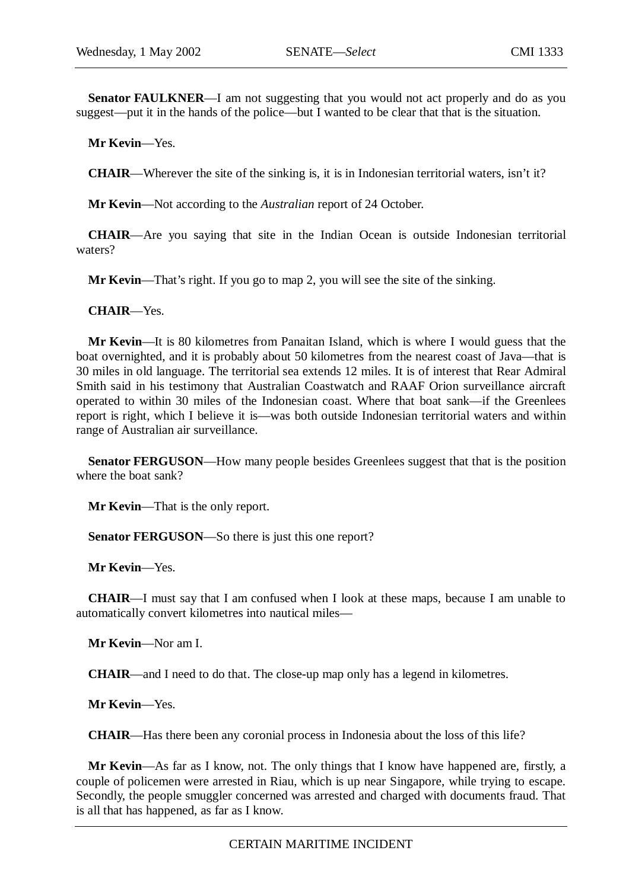**Senator FAULKNER**—I am not suggesting that you would not act properly and do as you suggest—put it in the hands of the police—but I wanted to be clear that that is the situation.

**Mr Kevin**—Yes.

**CHAIR**—Wherever the site of the sinking is, it is in Indonesian territorial waters, isn't it?

**Mr Kevin**—Not according to the *Australian* report of 24 October.

**CHAIR**—Are you saying that site in the Indian Ocean is outside Indonesian territorial waters?

**Mr Kevin**—That's right. If you go to map 2, you will see the site of the sinking.

**CHAIR**—Yes.

**Mr Kevin**—It is 80 kilometres from Panaitan Island, which is where I would guess that the boat overnighted, and it is probably about 50 kilometres from the nearest coast of Java—that is 30 miles in old language. The territorial sea extends 12 miles. It is of interest that Rear Admiral Smith said in his testimony that Australian Coastwatch and RAAF Orion surveillance aircraft operated to within 30 miles of the Indonesian coast. Where that boat sank—if the Greenlees report is right, which I believe it is—was both outside Indonesian territorial waters and within range of Australian air surveillance.

**Senator FERGUSON—How many people besides Greenlees suggest that that is the position** where the boat sank?

**Mr Kevin**—That is the only report.

**Senator FERGUSON—So there is just this one report?** 

**Mr Kevin**—Yes.

**CHAIR**—I must say that I am confused when I look at these maps, because I am unable to automatically convert kilometres into nautical miles—

**Mr Kevin**—Nor am I.

**CHAIR**—and I need to do that. The close-up map only has a legend in kilometres.

**Mr Kevin**—Yes.

**CHAIR**—Has there been any coronial process in Indonesia about the loss of this life?

**Mr Kevin**—As far as I know, not. The only things that I know have happened are, firstly, a couple of policemen were arrested in Riau, which is up near Singapore, while trying to escape. Secondly, the people smuggler concerned was arrested and charged with documents fraud. That is all that has happened, as far as I know.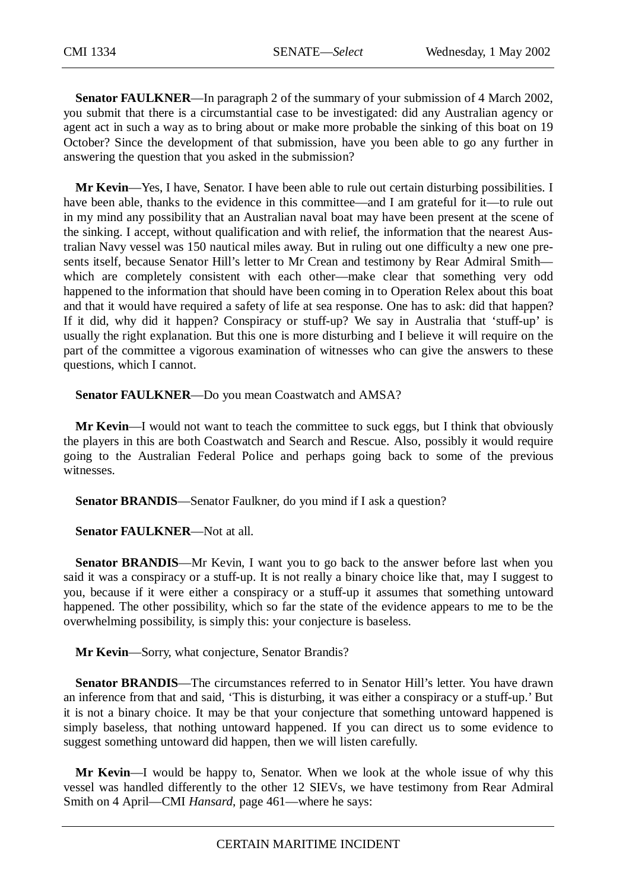**Senator FAULKNER**—In paragraph 2 of the summary of your submission of 4 March 2002, you submit that there is a circumstantial case to be investigated: did any Australian agency or agent act in such a way as to bring about or make more probable the sinking of this boat on 19 October? Since the development of that submission, have you been able to go any further in answering the question that you asked in the submission?

**Mr Kevin**—Yes, I have, Senator. I have been able to rule out certain disturbing possibilities. I have been able, thanks to the evidence in this committee—and I am grateful for it—to rule out in my mind any possibility that an Australian naval boat may have been present at the scene of the sinking. I accept, without qualification and with relief, the information that the nearest Australian Navy vessel was 150 nautical miles away. But in ruling out one difficulty a new one presents itself, because Senator Hill's letter to Mr Crean and testimony by Rear Admiral Smith which are completely consistent with each other—make clear that something very odd happened to the information that should have been coming in to Operation Relex about this boat and that it would have required a safety of life at sea response. One has to ask: did that happen? If it did, why did it happen? Conspiracy or stuff-up? We say in Australia that 'stuff-up' is usually the right explanation. But this one is more disturbing and I believe it will require on the part of the committee a vigorous examination of witnesses who can give the answers to these questions, which I cannot.

**Senator FAULKNER**—Do you mean Coastwatch and AMSA?

**Mr Kevin**—I would not want to teach the committee to suck eggs, but I think that obviously the players in this are both Coastwatch and Search and Rescue. Also, possibly it would require going to the Australian Federal Police and perhaps going back to some of the previous witnesses.

**Senator BRANDIS**—Senator Faulkner, do you mind if I ask a question?

**Senator FAULKNER**—Not at all.

**Senator BRANDIS—Mr** Kevin, I want you to go back to the answer before last when you said it was a conspiracy or a stuff-up. It is not really a binary choice like that, may I suggest to you, because if it were either a conspiracy or a stuff-up it assumes that something untoward happened. The other possibility, which so far the state of the evidence appears to me to be the overwhelming possibility, is simply this: your conjecture is baseless.

**Mr Kevin**—Sorry, what conjecture, Senator Brandis?

**Senator BRANDIS—The circumstances referred to in Senator Hill's letter. You have drawn** an inference from that and said, 'This is disturbing, it was either a conspiracy or a stuff-up.' But it is not a binary choice. It may be that your conjecture that something untoward happened is simply baseless, that nothing untoward happened. If you can direct us to some evidence to suggest something untoward did happen, then we will listen carefully.

**Mr Kevin**—I would be happy to, Senator. When we look at the whole issue of why this vessel was handled differently to the other 12 SIEVs, we have testimony from Rear Admiral Smith on 4 April—CMI *Hansard*, page 461—where he says: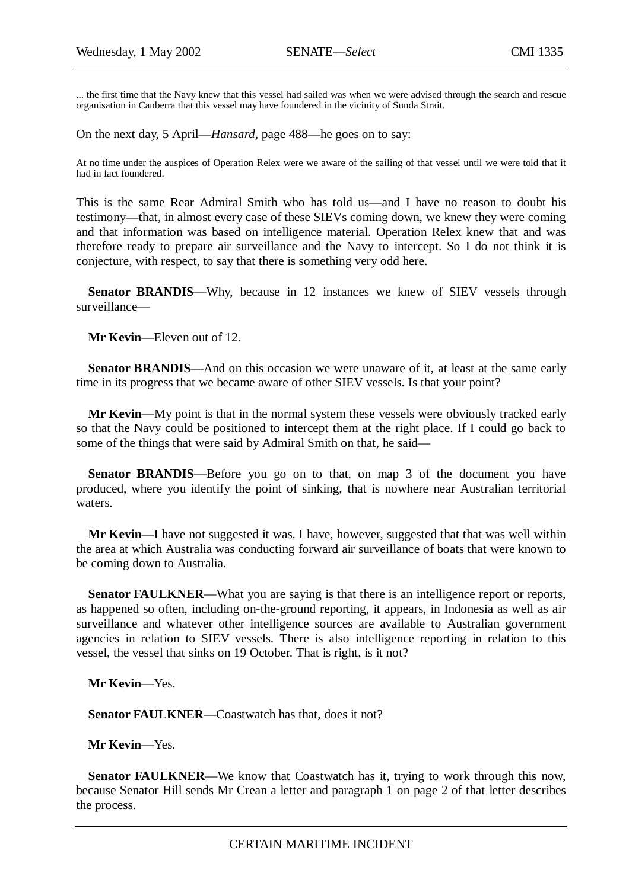... the first time that the Navy knew that this vessel had sailed was when we were advised through the search and rescue organisation in Canberra that this vessel may have foundered in the vicinity of Sunda Strait.

On the next day, 5 April—*Hansard*, page 488—he goes on to say:

At no time under the auspices of Operation Relex were we aware of the sailing of that vessel until we were told that it had in fact foundered.

This is the same Rear Admiral Smith who has told us—and I have no reason to doubt his testimony—that, in almost every case of these SIEVs coming down, we knew they were coming and that information was based on intelligence material. Operation Relex knew that and was therefore ready to prepare air surveillance and the Navy to intercept. So I do not think it is conjecture, with respect, to say that there is something very odd here.

**Senator BRANDIS—Why, because in 12 instances we knew of SIEV vessels through** surveillance—

**Mr Kevin**—Eleven out of 12.

**Senator BRANDIS—And on this occasion we were unaware of it, at least at the same early** time in its progress that we became aware of other SIEV vessels. Is that your point?

**Mr Kevin**—My point is that in the normal system these vessels were obviously tracked early so that the Navy could be positioned to intercept them at the right place. If I could go back to some of the things that were said by Admiral Smith on that, he said—

**Senator BRANDIS**—Before you go on to that, on map 3 of the document you have produced, where you identify the point of sinking, that is nowhere near Australian territorial waters.

**Mr Kevin**—I have not suggested it was. I have, however, suggested that that was well within the area at which Australia was conducting forward air surveillance of boats that were known to be coming down to Australia.

Senator FAULKNER—What you are saying is that there is an intelligence report or reports, as happened so often, including on-the-ground reporting, it appears, in Indonesia as well as air surveillance and whatever other intelligence sources are available to Australian government agencies in relation to SIEV vessels. There is also intelligence reporting in relation to this vessel, the vessel that sinks on 19 October. That is right, is it not?

**Mr Kevin**—Yes.

Senator FAULKNER—Coastwatch has that, does it not?

**Mr Kevin**—Yes.

**Senator FAULKNER—We** know that Coastwatch has it, trying to work through this now, because Senator Hill sends Mr Crean a letter and paragraph 1 on page 2 of that letter describes the process.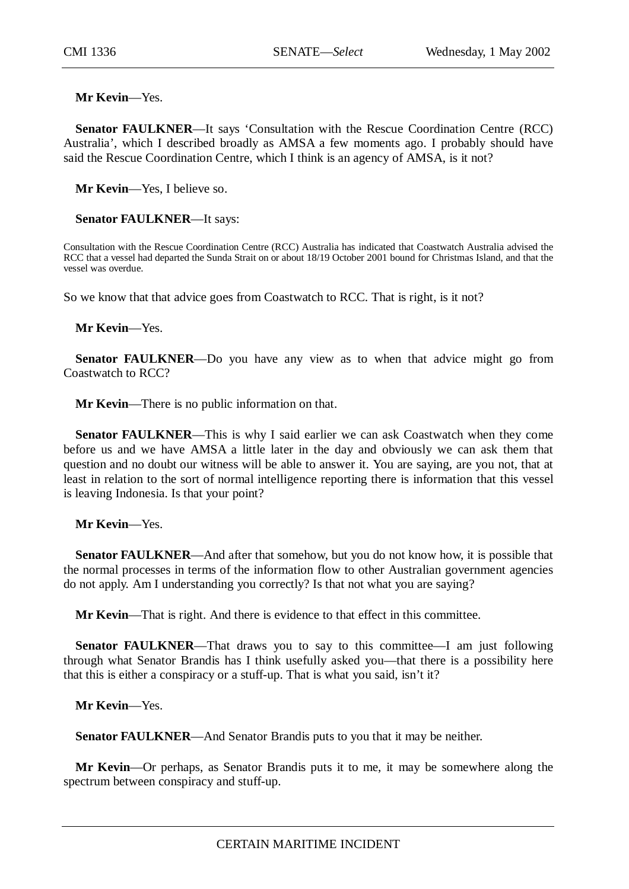**Mr Kevin**—Yes.

**Senator FAULKNER**—It says 'Consultation with the Rescue Coordination Centre (RCC) Australia', which I described broadly as AMSA a few moments ago. I probably should have said the Rescue Coordination Centre, which I think is an agency of AMSA, is it not?

**Mr Kevin**—Yes, I believe so.

### **Senator FAULKNER**—It says:

Consultation with the Rescue Coordination Centre (RCC) Australia has indicated that Coastwatch Australia advised the RCC that a vessel had departed the Sunda Strait on or about 18/19 October 2001 bound for Christmas Island, and that the vessel was overdue.

So we know that that advice goes from Coastwatch to RCC. That is right, is it not?

**Mr Kevin**—Yes.

**Senator FAULKNER—Do** you have any view as to when that advice might go from Coastwatch to RCC?

**Mr Kevin**—There is no public information on that.

**Senator FAULKNER**—This is why I said earlier we can ask Coastwatch when they come before us and we have AMSA a little later in the day and obviously we can ask them that question and no doubt our witness will be able to answer it. You are saying, are you not, that at least in relation to the sort of normal intelligence reporting there is information that this vessel is leaving Indonesia. Is that your point?

**Mr Kevin**—Yes.

**Senator FAULKNER**—And after that somehow, but you do not know how, it is possible that the normal processes in terms of the information flow to other Australian government agencies do not apply. Am I understanding you correctly? Is that not what you are saying?

**Mr Kevin**—That is right. And there is evidence to that effect in this committee.

**Senator FAULKNER—That draws you to say to this committee—I am just following** through what Senator Brandis has I think usefully asked you—that there is a possibility here that this is either a conspiracy or a stuff-up. That is what you said, isn't it?

**Mr Kevin**—Yes.

**Senator FAULKNER**—And Senator Brandis puts to you that it may be neither.

**Mr Kevin**—Or perhaps, as Senator Brandis puts it to me, it may be somewhere along the spectrum between conspiracy and stuff-up.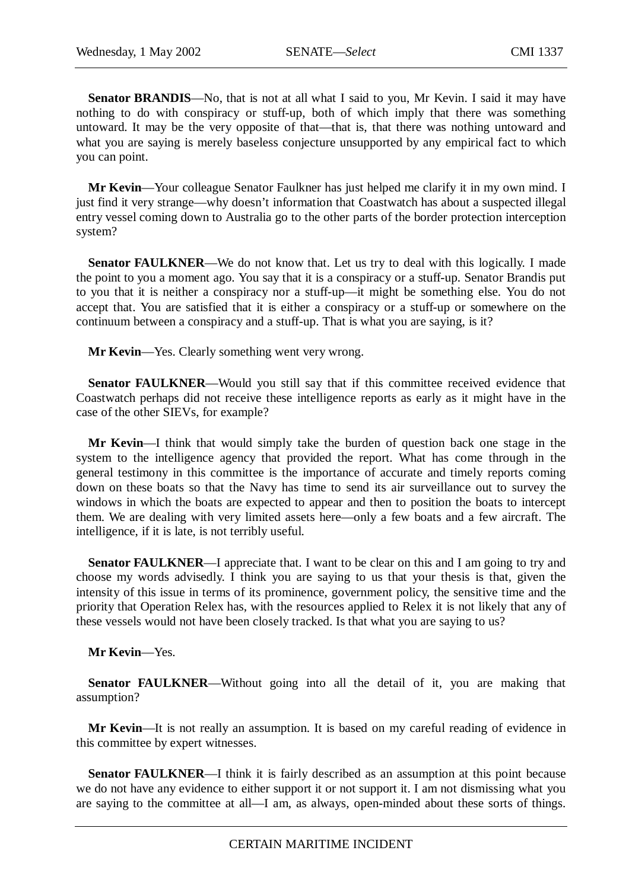Senator BRANDIS—No, that is not at all what I said to you, Mr Kevin. I said it may have nothing to do with conspiracy or stuff-up, both of which imply that there was something untoward. It may be the very opposite of that—that is, that there was nothing untoward and what you are saying is merely baseless conjecture unsupported by any empirical fact to which you can point.

**Mr Kevin**—Your colleague Senator Faulkner has just helped me clarify it in my own mind. I just find it very strange—why doesn't information that Coastwatch has about a suspected illegal entry vessel coming down to Australia go to the other parts of the border protection interception system?

**Senator FAULKNER—We** do not know that. Let us try to deal with this logically. I made the point to you a moment ago. You say that it is a conspiracy or a stuff-up. Senator Brandis put to you that it is neither a conspiracy nor a stuff-up—it might be something else. You do not accept that. You are satisfied that it is either a conspiracy or a stuff-up or somewhere on the continuum between a conspiracy and a stuff-up. That is what you are saying, is it?

**Mr Kevin**—Yes. Clearly something went very wrong.

**Senator FAULKNER—Would you still say that if this committee received evidence that** Coastwatch perhaps did not receive these intelligence reports as early as it might have in the case of the other SIEVs, for example?

**Mr Kevin**—I think that would simply take the burden of question back one stage in the system to the intelligence agency that provided the report. What has come through in the general testimony in this committee is the importance of accurate and timely reports coming down on these boats so that the Navy has time to send its air surveillance out to survey the windows in which the boats are expected to appear and then to position the boats to intercept them. We are dealing with very limited assets here—only a few boats and a few aircraft. The intelligence, if it is late, is not terribly useful.

**Senator FAULKNER—I** appreciate that. I want to be clear on this and I am going to try and choose my words advisedly. I think you are saying to us that your thesis is that, given the intensity of this issue in terms of its prominence, government policy, the sensitive time and the priority that Operation Relex has, with the resources applied to Relex it is not likely that any of these vessels would not have been closely tracked. Is that what you are saying to us?

**Mr Kevin**—Yes.

**Senator FAULKNER—Without** going into all the detail of it, you are making that assumption?

**Mr Kevin**—It is not really an assumption. It is based on my careful reading of evidence in this committee by expert witnesses.

**Senator FAULKNER—I** think it is fairly described as an assumption at this point because we do not have any evidence to either support it or not support it. I am not dismissing what you are saying to the committee at all—I am, as always, open-minded about these sorts of things.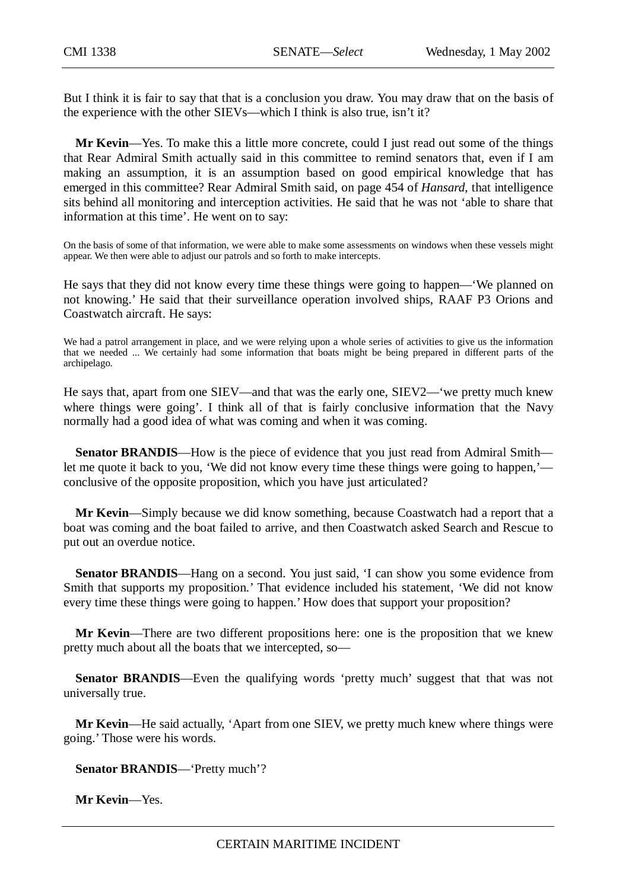But I think it is fair to say that that is a conclusion you draw. You may draw that on the basis of the experience with the other SIEVs—which I think is also true, isn't it?

**Mr Kevin**—Yes. To make this a little more concrete, could I just read out some of the things that Rear Admiral Smith actually said in this committee to remind senators that, even if I am making an assumption, it is an assumption based on good empirical knowledge that has emerged in this committee? Rear Admiral Smith said, on page 454 of *Hansard*, that intelligence sits behind all monitoring and interception activities. He said that he was not 'able to share that information at this time'. He went on to say:

On the basis of some of that information, we were able to make some assessments on windows when these vessels might appear. We then were able to adjust our patrols and so forth to make intercepts.

He says that they did not know every time these things were going to happen—'We planned on not knowing.' He said that their surveillance operation involved ships, RAAF P3 Orions and Coastwatch aircraft. He says:

We had a patrol arrangement in place, and we were relying upon a whole series of activities to give us the information that we needed ... We certainly had some information that boats might be being prepared in different parts of the archipelago.

He says that, apart from one SIEV—and that was the early one, SIEV2—'we pretty much knew where things were going'. I think all of that is fairly conclusive information that the Navy normally had a good idea of what was coming and when it was coming.

**Senator BRANDIS—How** is the piece of evidence that you just read from Admiral Smith let me quote it back to you, 'We did not know every time these things were going to happen,' conclusive of the opposite proposition, which you have just articulated?

**Mr Kevin**—Simply because we did know something, because Coastwatch had a report that a boat was coming and the boat failed to arrive, and then Coastwatch asked Search and Rescue to put out an overdue notice.

**Senator BRANDIS**—Hang on a second. You just said, 'I can show you some evidence from Smith that supports my proposition.' That evidence included his statement, 'We did not know every time these things were going to happen.' How does that support your proposition?

**Mr Kevin**—There are two different propositions here: one is the proposition that we knew pretty much about all the boats that we intercepted, so—

**Senator BRANDIS—Even** the qualifying words 'pretty much' suggest that that was not universally true.

**Mr Kevin**—He said actually, 'Apart from one SIEV, we pretty much knew where things were going.' Those were his words.

**Senator BRANDIS**—'Pretty much'?

**Mr Kevin**—Yes.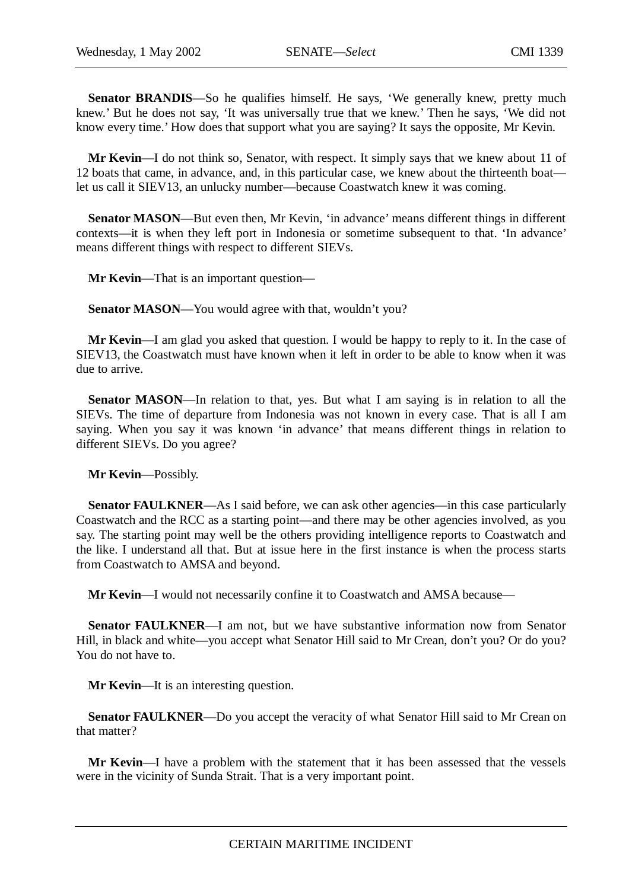**Senator BRANDIS**—So he qualifies himself. He says, 'We generally knew, pretty much knew.' But he does not say, 'It was universally true that we knew.' Then he says, 'We did not know every time.' How does that support what you are saying? It says the opposite, Mr Kevin.

**Mr Kevin**—I do not think so, Senator, with respect. It simply says that we knew about 11 of 12 boats that came, in advance, and, in this particular case, we knew about the thirteenth boat let us call it SIEV13, an unlucky number—because Coastwatch knew it was coming.

**Senator MASON**—But even then, Mr Kevin, 'in advance' means different things in different contexts—it is when they left port in Indonesia or sometime subsequent to that. 'In advance' means different things with respect to different SIEVs.

**Mr Kevin**—That is an important question—

**Senator MASON—You would agree with that, wouldn't you?** 

**Mr Kevin**—I am glad you asked that question. I would be happy to reply to it. In the case of SIEV13, the Coastwatch must have known when it left in order to be able to know when it was due to arrive.

**Senator MASON—In** relation to that, yes. But what I am saying is in relation to all the SIEVs. The time of departure from Indonesia was not known in every case. That is all I am saying. When you say it was known 'in advance' that means different things in relation to different SIEVs. Do you agree?

**Mr Kevin**—Possibly.

**Senator FAULKNER—As** I said before, we can ask other agencies—in this case particularly Coastwatch and the RCC as a starting point—and there may be other agencies involved, as you say. The starting point may well be the others providing intelligence reports to Coastwatch and the like. I understand all that. But at issue here in the first instance is when the process starts from Coastwatch to AMSA and beyond.

**Mr Kevin**—I would not necessarily confine it to Coastwatch and AMSA because—

**Senator FAULKNER**—I am not, but we have substantive information now from Senator Hill, in black and white—you accept what Senator Hill said to Mr Crean, don't you? Or do you? You do not have to.

**Mr Kevin**—It is an interesting question.

**Senator FAULKNER—Do** you accept the veracity of what Senator Hill said to Mr Crean on that matter?

**Mr Kevin**—I have a problem with the statement that it has been assessed that the vessels were in the vicinity of Sunda Strait. That is a very important point.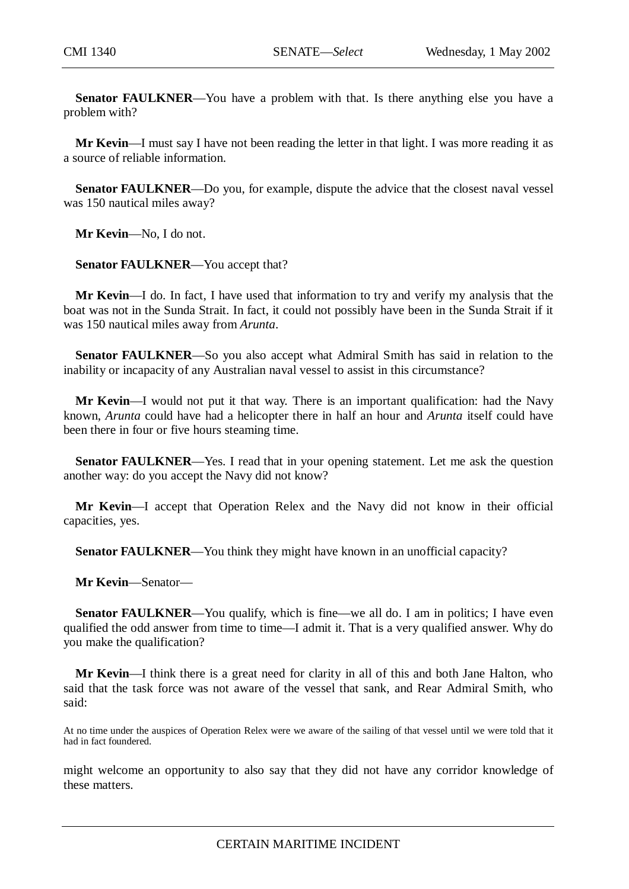**Senator FAULKNER**—You have a problem with that. Is there anything else you have a problem with?

**Mr Kevin**—I must say I have not been reading the letter in that light. I was more reading it as a source of reliable information.

**Senator FAULKNER—Do** you, for example, dispute the advice that the closest naval vessel was 150 nautical miles away?

**Mr Kevin**—No, I do not.

**Senator FAULKNER**—You accept that?

**Mr Kevin**—I do. In fact, I have used that information to try and verify my analysis that the boat was not in the Sunda Strait. In fact, it could not possibly have been in the Sunda Strait if it was 150 nautical miles away from *Arunta*.

**Senator FAULKNER**—So you also accept what Admiral Smith has said in relation to the inability or incapacity of any Australian naval vessel to assist in this circumstance?

**Mr Kevin**—I would not put it that way. There is an important qualification: had the Navy known, *Arunta* could have had a helicopter there in half an hour and *Arunta* itself could have been there in four or five hours steaming time.

**Senator FAULKNER—Yes.** I read that in your opening statement. Let me ask the question another way: do you accept the Navy did not know?

**Mr Kevin**—I accept that Operation Relex and the Navy did not know in their official capacities, yes.

**Senator FAULKNER—You think they might have known in an unofficial capacity?** 

**Mr Kevin**—Senator—

**Senator FAULKNER—You qualify, which is fine—we all do. I am in politics; I have even** qualified the odd answer from time to time—I admit it. That is a very qualified answer. Why do you make the qualification?

**Mr Kevin**—I think there is a great need for clarity in all of this and both Jane Halton, who said that the task force was not aware of the vessel that sank, and Rear Admiral Smith, who said:

At no time under the auspices of Operation Relex were we aware of the sailing of that vessel until we were told that it had in fact foundered.

might welcome an opportunity to also say that they did not have any corridor knowledge of these matters.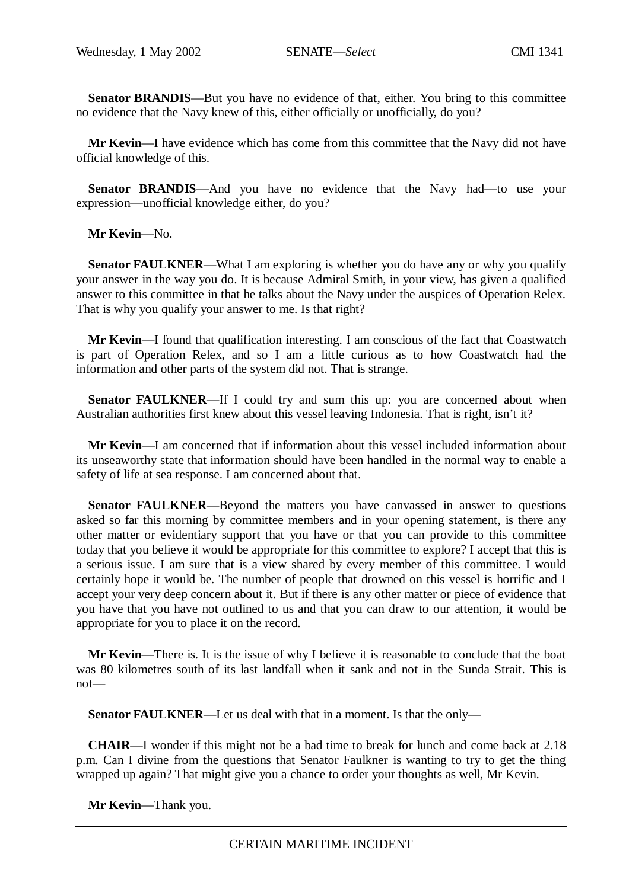**Senator BRANDIS**—But you have no evidence of that, either. You bring to this committee no evidence that the Navy knew of this, either officially or unofficially, do you?

**Mr Kevin**—I have evidence which has come from this committee that the Navy did not have official knowledge of this.

**Senator BRANDIS**—And you have no evidence that the Navy had—to use your expression—unofficial knowledge either, do you?

**Mr Kevin**—No.

**Senator FAULKNER—What I am exploring is whether you do have any or why you qualify** your answer in the way you do. It is because Admiral Smith, in your view, has given a qualified answer to this committee in that he talks about the Navy under the auspices of Operation Relex. That is why you qualify your answer to me. Is that right?

**Mr Kevin**—I found that qualification interesting. I am conscious of the fact that Coastwatch is part of Operation Relex, and so I am a little curious as to how Coastwatch had the information and other parts of the system did not. That is strange.

**Senator FAULKNER—If** I could try and sum this up: you are concerned about when Australian authorities first knew about this vessel leaving Indonesia. That is right, isn't it?

**Mr Kevin**—I am concerned that if information about this vessel included information about its unseaworthy state that information should have been handled in the normal way to enable a safety of life at sea response. I am concerned about that.

**Senator FAULKNER—Beyond the matters you have canvassed in answer to questions** asked so far this morning by committee members and in your opening statement, is there any other matter or evidentiary support that you have or that you can provide to this committee today that you believe it would be appropriate for this committee to explore? I accept that this is a serious issue. I am sure that is a view shared by every member of this committee. I would certainly hope it would be. The number of people that drowned on this vessel is horrific and I accept your very deep concern about it. But if there is any other matter or piece of evidence that you have that you have not outlined to us and that you can draw to our attention, it would be appropriate for you to place it on the record.

**Mr Kevin**—There is. It is the issue of why I believe it is reasonable to conclude that the boat was 80 kilometres south of its last landfall when it sank and not in the Sunda Strait. This is not—

**Senator FAULKNER**—Let us deal with that in a moment. Is that the only—

**CHAIR**—I wonder if this might not be a bad time to break for lunch and come back at 2.18 p.m. Can I divine from the questions that Senator Faulkner is wanting to try to get the thing wrapped up again? That might give you a chance to order your thoughts as well, Mr Kevin.

**Mr Kevin**—Thank you.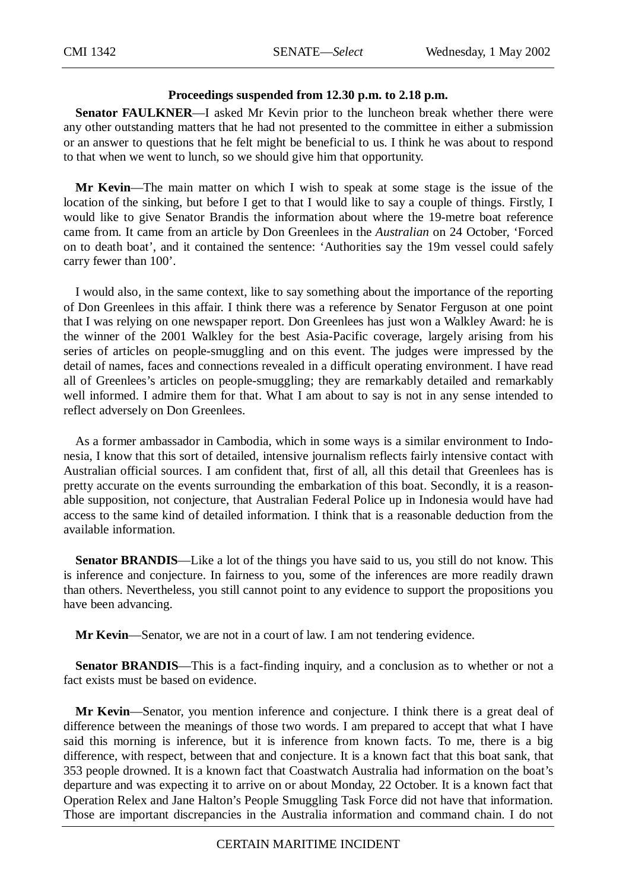# **Proceedings suspended from 12.30 p.m. to 2.18 p.m.**

**Senator FAULKNER**—I asked Mr Kevin prior to the luncheon break whether there were any other outstanding matters that he had not presented to the committee in either a submission or an answer to questions that he felt might be beneficial to us. I think he was about to respond to that when we went to lunch, so we should give him that opportunity.

**Mr Kevin**—The main matter on which I wish to speak at some stage is the issue of the location of the sinking, but before I get to that I would like to say a couple of things. Firstly, I would like to give Senator Brandis the information about where the 19-metre boat reference came from. It came from an article by Don Greenlees in the *Australian* on 24 October, 'Forced on to death boat', and it contained the sentence: 'Authorities say the 19m vessel could safely carry fewer than 100'.

I would also, in the same context, like to say something about the importance of the reporting of Don Greenlees in this affair. I think there was a reference by Senator Ferguson at one point that I was relying on one newspaper report. Don Greenlees has just won a Walkley Award: he is the winner of the 2001 Walkley for the best Asia-Pacific coverage, largely arising from his series of articles on people-smuggling and on this event. The judges were impressed by the detail of names, faces and connections revealed in a difficult operating environment. I have read all of Greenlees's articles on people-smuggling; they are remarkably detailed and remarkably well informed. I admire them for that. What I am about to say is not in any sense intended to reflect adversely on Don Greenlees.

As a former ambassador in Cambodia, which in some ways is a similar environment to Indonesia, I know that this sort of detailed, intensive journalism reflects fairly intensive contact with Australian official sources. I am confident that, first of all, all this detail that Greenlees has is pretty accurate on the events surrounding the embarkation of this boat. Secondly, it is a reasonable supposition, not conjecture, that Australian Federal Police up in Indonesia would have had access to the same kind of detailed information. I think that is a reasonable deduction from the available information.

**Senator BRANDIS**—Like a lot of the things you have said to us, you still do not know. This is inference and conjecture. In fairness to you, some of the inferences are more readily drawn than others. Nevertheless, you still cannot point to any evidence to support the propositions you have been advancing.

**Mr Kevin**—Senator, we are not in a court of law. I am not tendering evidence.

Senator BRANDIS—This is a fact-finding inquiry, and a conclusion as to whether or not a fact exists must be based on evidence.

**Mr Kevin**—Senator, you mention inference and conjecture. I think there is a great deal of difference between the meanings of those two words. I am prepared to accept that what I have said this morning is inference, but it is inference from known facts. To me, there is a big difference, with respect, between that and conjecture. It is a known fact that this boat sank, that 353 people drowned. It is a known fact that Coastwatch Australia had information on the boat's departure and was expecting it to arrive on or about Monday, 22 October. It is a known fact that Operation Relex and Jane Halton's People Smuggling Task Force did not have that information. Those are important discrepancies in the Australia information and command chain. I do not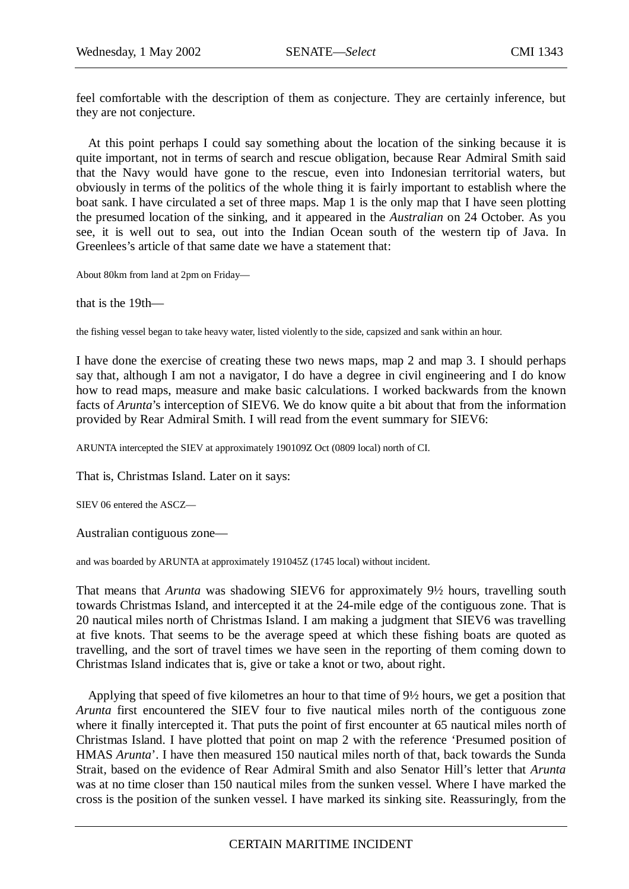feel comfortable with the description of them as conjecture. They are certainly inference, but they are not conjecture.

At this point perhaps I could say something about the location of the sinking because it is quite important, not in terms of search and rescue obligation, because Rear Admiral Smith said that the Navy would have gone to the rescue, even into Indonesian territorial waters, but obviously in terms of the politics of the whole thing it is fairly important to establish where the boat sank. I have circulated a set of three maps. Map 1 is the only map that I have seen plotting the presumed location of the sinking, and it appeared in the *Australian* on 24 October. As you see, it is well out to sea, out into the Indian Ocean south of the western tip of Java. In Greenlees's article of that same date we have a statement that:

About 80km from land at 2pm on Friday—

that is the 19th—

the fishing vessel began to take heavy water, listed violently to the side, capsized and sank within an hour.

I have done the exercise of creating these two news maps, map 2 and map 3. I should perhaps say that, although I am not a navigator, I do have a degree in civil engineering and I do know how to read maps, measure and make basic calculations. I worked backwards from the known facts of *Arunta*'s interception of SIEV6. We do know quite a bit about that from the information provided by Rear Admiral Smith. I will read from the event summary for SIEV6:

ARUNTA intercepted the SIEV at approximately 190109Z Oct (0809 local) north of CI.

That is, Christmas Island. Later on it says:

SIEV 06 entered the ASCZ—

Australian contiguous zone—

and was boarded by ARUNTA at approximately 191045Z (1745 local) without incident.

That means that *Arunta* was shadowing SIEV6 for approximately 9½ hours, travelling south towards Christmas Island, and intercepted it at the 24-mile edge of the contiguous zone. That is 20 nautical miles north of Christmas Island. I am making a judgment that SIEV6 was travelling at five knots. That seems to be the average speed at which these fishing boats are quoted as travelling, and the sort of travel times we have seen in the reporting of them coming down to Christmas Island indicates that is, give or take a knot or two, about right.

Applying that speed of five kilometres an hour to that time of 9½ hours, we get a position that *Arunta* first encountered the SIEV four to five nautical miles north of the contiguous zone where it finally intercepted it. That puts the point of first encounter at 65 nautical miles north of Christmas Island. I have plotted that point on map 2 with the reference 'Presumed position of HMAS *Arunta*'. I have then measured 150 nautical miles north of that, back towards the Sunda Strait, based on the evidence of Rear Admiral Smith and also Senator Hill's letter that *Arunta* was at no time closer than 150 nautical miles from the sunken vessel. Where I have marked the cross is the position of the sunken vessel. I have marked its sinking site. Reassuringly, from the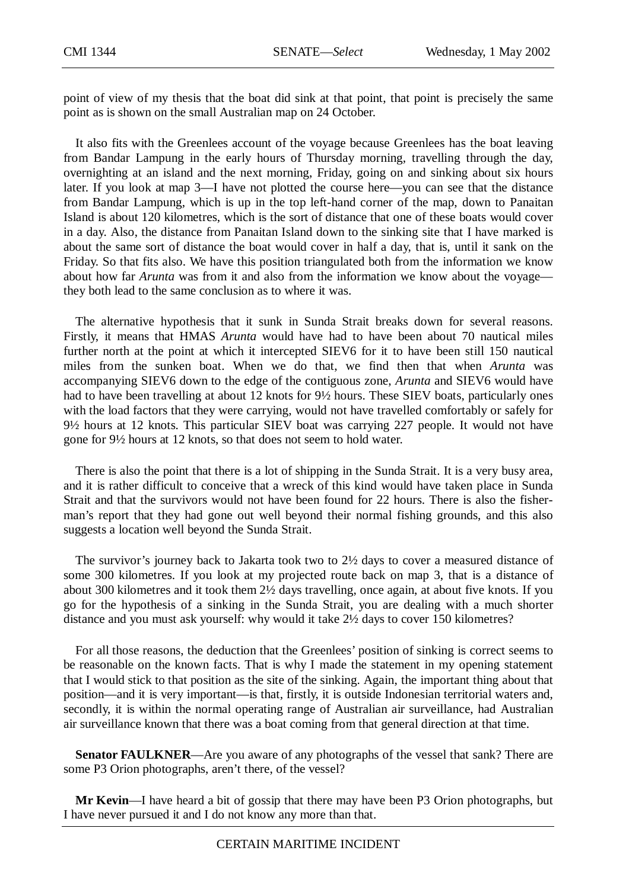point of view of my thesis that the boat did sink at that point, that point is precisely the same point as is shown on the small Australian map on 24 October.

It also fits with the Greenlees account of the voyage because Greenlees has the boat leaving from Bandar Lampung in the early hours of Thursday morning, travelling through the day, overnighting at an island and the next morning, Friday, going on and sinking about six hours later. If you look at map 3—I have not plotted the course here—you can see that the distance from Bandar Lampung, which is up in the top left-hand corner of the map, down to Panaitan Island is about 120 kilometres, which is the sort of distance that one of these boats would cover in a day. Also, the distance from Panaitan Island down to the sinking site that I have marked is about the same sort of distance the boat would cover in half a day, that is, until it sank on the Friday. So that fits also. We have this position triangulated both from the information we know about how far *Arunta* was from it and also from the information we know about the voyage they both lead to the same conclusion as to where it was.

The alternative hypothesis that it sunk in Sunda Strait breaks down for several reasons. Firstly, it means that HMAS *Arunta* would have had to have been about 70 nautical miles further north at the point at which it intercepted SIEV6 for it to have been still 150 nautical miles from the sunken boat. When we do that, we find then that when *Arunta* was accompanying SIEV6 down to the edge of the contiguous zone, *Arunta* and SIEV6 would have had to have been travelling at about 12 knots for  $9\frac{1}{2}$  hours. These SIEV boats, particularly ones with the load factors that they were carrying, would not have travelled comfortably or safely for 9½ hours at 12 knots. This particular SIEV boat was carrying 227 people. It would not have gone for 9½ hours at 12 knots, so that does not seem to hold water.

There is also the point that there is a lot of shipping in the Sunda Strait. It is a very busy area, and it is rather difficult to conceive that a wreck of this kind would have taken place in Sunda Strait and that the survivors would not have been found for 22 hours. There is also the fisherman's report that they had gone out well beyond their normal fishing grounds, and this also suggests a location well beyond the Sunda Strait.

The survivor's journey back to Jakarta took two to 2½ days to cover a measured distance of some 300 kilometres. If you look at my projected route back on map 3, that is a distance of about 300 kilometres and it took them 2½ days travelling, once again, at about five knots. If you go for the hypothesis of a sinking in the Sunda Strait, you are dealing with a much shorter distance and you must ask yourself: why would it take 2½ days to cover 150 kilometres?

For all those reasons, the deduction that the Greenlees' position of sinking is correct seems to be reasonable on the known facts. That is why I made the statement in my opening statement that I would stick to that position as the site of the sinking. Again, the important thing about that position—and it is very important—is that, firstly, it is outside Indonesian territorial waters and, secondly, it is within the normal operating range of Australian air surveillance, had Australian air surveillance known that there was a boat coming from that general direction at that time.

**Senator FAULKNER—Are you aware of any photographs of the vessel that sank? There are** some P3 Orion photographs, aren't there, of the vessel?

**Mr Kevin**—I have heard a bit of gossip that there may have been P3 Orion photographs, but I have never pursued it and I do not know any more than that.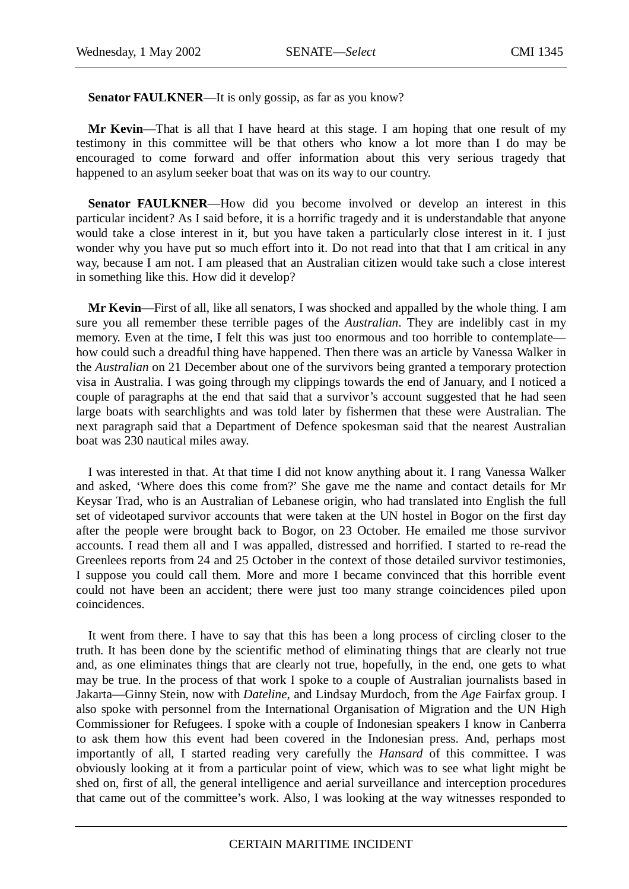Senator FAULKNER—It is only gossip, as far as you know?

**Mr Kevin**—That is all that I have heard at this stage. I am hoping that one result of my testimony in this committee will be that others who know a lot more than I do may be encouraged to come forward and offer information about this very serious tragedy that happened to an asylum seeker boat that was on its way to our country.

**Senator FAULKNER—How** did you become involved or develop an interest in this particular incident? As I said before, it is a horrific tragedy and it is understandable that anyone would take a close interest in it, but you have taken a particularly close interest in it. I just wonder why you have put so much effort into it. Do not read into that that I am critical in any way, because I am not. I am pleased that an Australian citizen would take such a close interest in something like this. How did it develop?

**Mr Kevin**—First of all, like all senators, I was shocked and appalled by the whole thing. I am sure you all remember these terrible pages of the *Australian*. They are indelibly cast in my memory. Even at the time, I felt this was just too enormous and too horrible to contemplate how could such a dreadful thing have happened. Then there was an article by Vanessa Walker in the *Australian* on 21 December about one of the survivors being granted a temporary protection visa in Australia. I was going through my clippings towards the end of January, and I noticed a couple of paragraphs at the end that said that a survivor's account suggested that he had seen large boats with searchlights and was told later by fishermen that these were Australian. The next paragraph said that a Department of Defence spokesman said that the nearest Australian boat was 230 nautical miles away.

I was interested in that. At that time I did not know anything about it. I rang Vanessa Walker and asked, 'Where does this come from?' She gave me the name and contact details for Mr Keysar Trad, who is an Australian of Lebanese origin, who had translated into English the full set of videotaped survivor accounts that were taken at the UN hostel in Bogor on the first day after the people were brought back to Bogor, on 23 October. He emailed me those survivor accounts. I read them all and I was appalled, distressed and horrified. I started to re-read the Greenlees reports from 24 and 25 October in the context of those detailed survivor testimonies, I suppose you could call them. More and more I became convinced that this horrible event could not have been an accident; there were just too many strange coincidences piled upon coincidences.

It went from there. I have to say that this has been a long process of circling closer to the truth. It has been done by the scientific method of eliminating things that are clearly not true and, as one eliminates things that are clearly not true, hopefully, in the end, one gets to what may be true. In the process of that work I spoke to a couple of Australian journalists based in Jakarta—Ginny Stein, now with *Dateline*, and Lindsay Murdoch, from the *Age* Fairfax group. I also spoke with personnel from the International Organisation of Migration and the UN High Commissioner for Refugees. I spoke with a couple of Indonesian speakers I know in Canberra to ask them how this event had been covered in the Indonesian press. And, perhaps most importantly of all, I started reading very carefully the *Hansard* of this committee. I was obviously looking at it from a particular point of view, which was to see what light might be shed on, first of all, the general intelligence and aerial surveillance and interception procedures that came out of the committee's work. Also, I was looking at the way witnesses responded to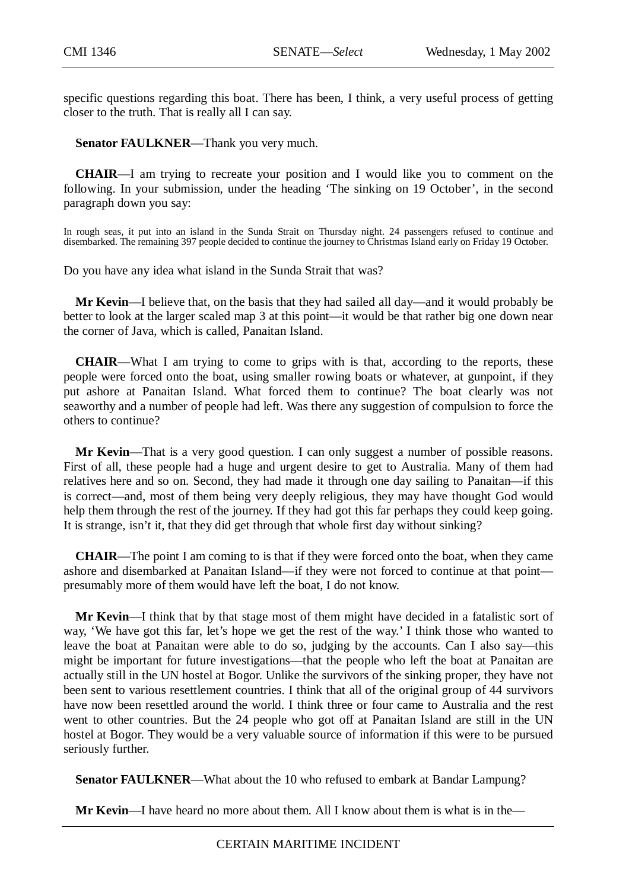specific questions regarding this boat. There has been, I think, a very useful process of getting closer to the truth. That is really all I can say.

**Senator FAULKNER**—Thank you very much.

**CHAIR**—I am trying to recreate your position and I would like you to comment on the following. In your submission, under the heading 'The sinking on 19 October', in the second paragraph down you say:

In rough seas, it put into an island in the Sunda Strait on Thursday night. 24 passengers refused to continue and disembarked. The remaining 397 people decided to continue the journey to Christmas Island early on Friday 19 October.

Do you have any idea what island in the Sunda Strait that was?

**Mr Kevin**—I believe that, on the basis that they had sailed all day—and it would probably be better to look at the larger scaled map 3 at this point—it would be that rather big one down near the corner of Java, which is called, Panaitan Island.

**CHAIR**—What I am trying to come to grips with is that, according to the reports, these people were forced onto the boat, using smaller rowing boats or whatever, at gunpoint, if they put ashore at Panaitan Island. What forced them to continue? The boat clearly was not seaworthy and a number of people had left. Was there any suggestion of compulsion to force the others to continue?

**Mr Kevin**—That is a very good question. I can only suggest a number of possible reasons. First of all, these people had a huge and urgent desire to get to Australia. Many of them had relatives here and so on. Second, they had made it through one day sailing to Panaitan—if this is correct—and, most of them being very deeply religious, they may have thought God would help them through the rest of the journey. If they had got this far perhaps they could keep going. It is strange, isn't it, that they did get through that whole first day without sinking?

**CHAIR**—The point I am coming to is that if they were forced onto the boat, when they came ashore and disembarked at Panaitan Island—if they were not forced to continue at that point presumably more of them would have left the boat, I do not know.

**Mr Kevin**—I think that by that stage most of them might have decided in a fatalistic sort of way, 'We have got this far, let's hope we get the rest of the way.' I think those who wanted to leave the boat at Panaitan were able to do so, judging by the accounts. Can I also say—this might be important for future investigations—that the people who left the boat at Panaitan are actually still in the UN hostel at Bogor. Unlike the survivors of the sinking proper, they have not been sent to various resettlement countries. I think that all of the original group of 44 survivors have now been resettled around the world. I think three or four came to Australia and the rest went to other countries. But the 24 people who got off at Panaitan Island are still in the UN hostel at Bogor. They would be a very valuable source of information if this were to be pursued seriously further.

**Senator FAULKNER**—What about the 10 who refused to embark at Bandar Lampung?

**Mr Kevin**—I have heard no more about them. All I know about them is what is in the—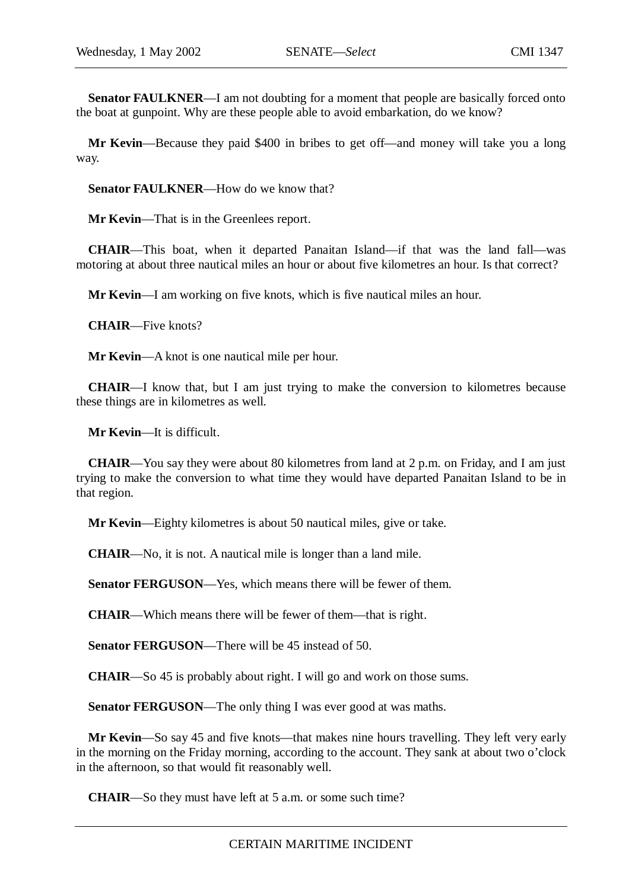**Senator FAULKNER—I** am not doubting for a moment that people are basically forced onto the boat at gunpoint. Why are these people able to avoid embarkation, do we know?

**Mr Kevin**—Because they paid \$400 in bribes to get off—and money will take you a long way.

Senator FAULKNER—How do we know that?

**Mr Kevin**—That is in the Greenlees report.

**CHAIR**—This boat, when it departed Panaitan Island—if that was the land fall—was motoring at about three nautical miles an hour or about five kilometres an hour. Is that correct?

**Mr Kevin**—I am working on five knots, which is five nautical miles an hour.

**CHAIR**—Five knots?

**Mr Kevin**—A knot is one nautical mile per hour.

**CHAIR**—I know that, but I am just trying to make the conversion to kilometres because these things are in kilometres as well.

**Mr Kevin**—It is difficult.

**CHAIR**—You say they were about 80 kilometres from land at 2 p.m. on Friday, and I am just trying to make the conversion to what time they would have departed Panaitan Island to be in that region.

**Mr Kevin**—Eighty kilometres is about 50 nautical miles, give or take.

**CHAIR**—No, it is not. A nautical mile is longer than a land mile.

**Senator FERGUSON—Yes, which means there will be fewer of them.** 

**CHAIR**—Which means there will be fewer of them—that is right.

**Senator FERGUSON—There will be 45 instead of 50.** 

**CHAIR**—So 45 is probably about right. I will go and work on those sums.

**Senator FERGUSON**—The only thing I was ever good at was maths.

**Mr Kevin**—So say 45 and five knots—that makes nine hours travelling. They left very early in the morning on the Friday morning, according to the account. They sank at about two o'clock in the afternoon, so that would fit reasonably well.

**CHAIR**—So they must have left at 5 a.m. or some such time?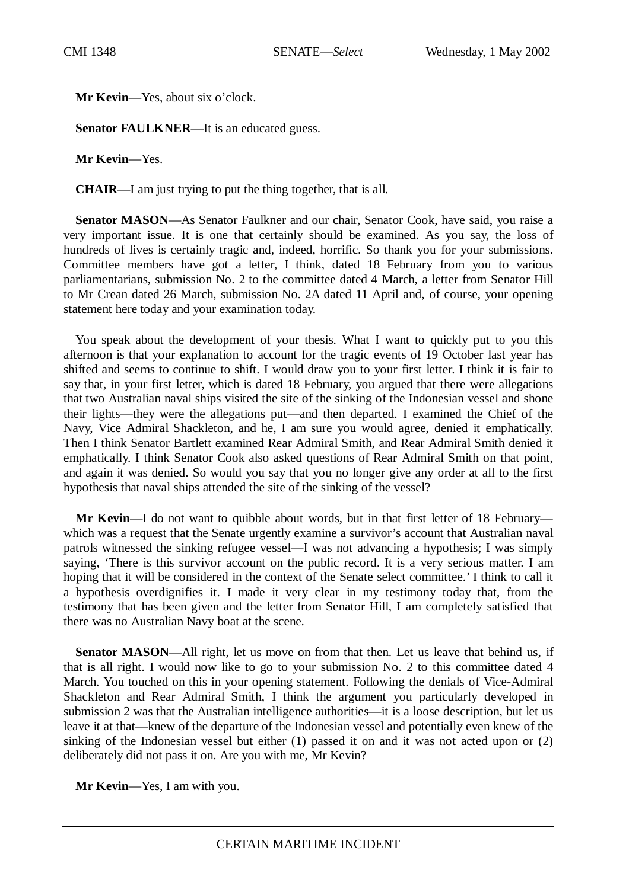**Mr Kevin**—Yes, about six o'clock.

**Senator FAULKNER—It** is an educated guess.

**Mr Kevin**—Yes.

**CHAIR**—I am just trying to put the thing together, that is all.

**Senator MASON**—As Senator Faulkner and our chair, Senator Cook, have said, you raise a very important issue. It is one that certainly should be examined. As you say, the loss of hundreds of lives is certainly tragic and, indeed, horrific. So thank you for your submissions. Committee members have got a letter, I think, dated 18 February from you to various parliamentarians, submission No. 2 to the committee dated 4 March, a letter from Senator Hill to Mr Crean dated 26 March, submission No. 2A dated 11 April and, of course, your opening statement here today and your examination today.

You speak about the development of your thesis. What I want to quickly put to you this afternoon is that your explanation to account for the tragic events of 19 October last year has shifted and seems to continue to shift. I would draw you to your first letter. I think it is fair to say that, in your first letter, which is dated 18 February, you argued that there were allegations that two Australian naval ships visited the site of the sinking of the Indonesian vessel and shone their lights—they were the allegations put—and then departed. I examined the Chief of the Navy, Vice Admiral Shackleton, and he, I am sure you would agree, denied it emphatically. Then I think Senator Bartlett examined Rear Admiral Smith, and Rear Admiral Smith denied it emphatically. I think Senator Cook also asked questions of Rear Admiral Smith on that point, and again it was denied. So would you say that you no longer give any order at all to the first hypothesis that naval ships attended the site of the sinking of the vessel?

**Mr Kevin**—I do not want to quibble about words, but in that first letter of 18 February which was a request that the Senate urgently examine a survivor's account that Australian naval patrols witnessed the sinking refugee vessel—I was not advancing a hypothesis; I was simply saying, 'There is this survivor account on the public record. It is a very serious matter. I am hoping that it will be considered in the context of the Senate select committee.' I think to call it a hypothesis overdignifies it. I made it very clear in my testimony today that, from the testimony that has been given and the letter from Senator Hill, I am completely satisfied that there was no Australian Navy boat at the scene.

**Senator MASON**—All right, let us move on from that then. Let us leave that behind us, if that is all right. I would now like to go to your submission No. 2 to this committee dated 4 March. You touched on this in your opening statement. Following the denials of Vice-Admiral Shackleton and Rear Admiral Smith, I think the argument you particularly developed in submission 2 was that the Australian intelligence authorities—it is a loose description, but let us leave it at that—knew of the departure of the Indonesian vessel and potentially even knew of the sinking of the Indonesian vessel but either (1) passed it on and it was not acted upon or (2) deliberately did not pass it on. Are you with me, Mr Kevin?

**Mr Kevin**—Yes, I am with you.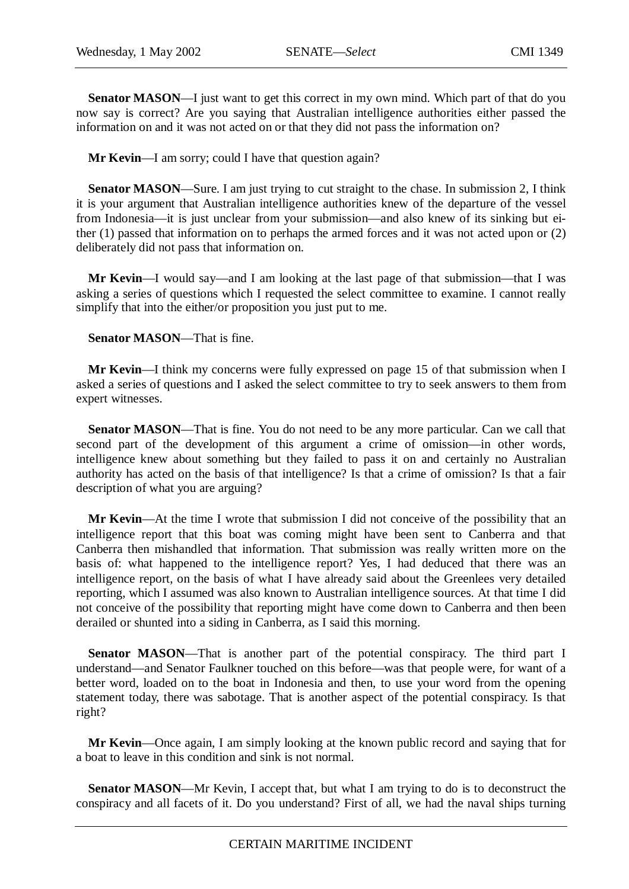**Senator MASON—I** just want to get this correct in my own mind. Which part of that do you now say is correct? Are you saying that Australian intelligence authorities either passed the information on and it was not acted on or that they did not pass the information on?

**Mr Kevin**—I am sorry; could I have that question again?

Senator MASON—Sure. I am just trying to cut straight to the chase. In submission 2, I think it is your argument that Australian intelligence authorities knew of the departure of the vessel from Indonesia—it is just unclear from your submission—and also knew of its sinking but either (1) passed that information on to perhaps the armed forces and it was not acted upon or (2) deliberately did not pass that information on.

**Mr Kevin**—I would say—and I am looking at the last page of that submission—that I was asking a series of questions which I requested the select committee to examine. I cannot really simplify that into the either/or proposition you just put to me.

**Senator MASON**—That is fine.

**Mr Kevin**—I think my concerns were fully expressed on page 15 of that submission when I asked a series of questions and I asked the select committee to try to seek answers to them from expert witnesses.

**Senator MASON**—That is fine. You do not need to be any more particular. Can we call that second part of the development of this argument a crime of omission—in other words, intelligence knew about something but they failed to pass it on and certainly no Australian authority has acted on the basis of that intelligence? Is that a crime of omission? Is that a fair description of what you are arguing?

**Mr Kevin**—At the time I wrote that submission I did not conceive of the possibility that an intelligence report that this boat was coming might have been sent to Canberra and that Canberra then mishandled that information. That submission was really written more on the basis of: what happened to the intelligence report? Yes, I had deduced that there was an intelligence report, on the basis of what I have already said about the Greenlees very detailed reporting, which I assumed was also known to Australian intelligence sources. At that time I did not conceive of the possibility that reporting might have come down to Canberra and then been derailed or shunted into a siding in Canberra, as I said this morning.

**Senator MASON—That** is another part of the potential conspiracy. The third part I understand—and Senator Faulkner touched on this before—was that people were, for want of a better word, loaded on to the boat in Indonesia and then, to use your word from the opening statement today, there was sabotage. That is another aspect of the potential conspiracy. Is that right?

**Mr Kevin**—Once again, I am simply looking at the known public record and saying that for a boat to leave in this condition and sink is not normal.

**Senator MASON—Mr** Kevin, I accept that, but what I am trying to do is to deconstruct the conspiracy and all facets of it. Do you understand? First of all, we had the naval ships turning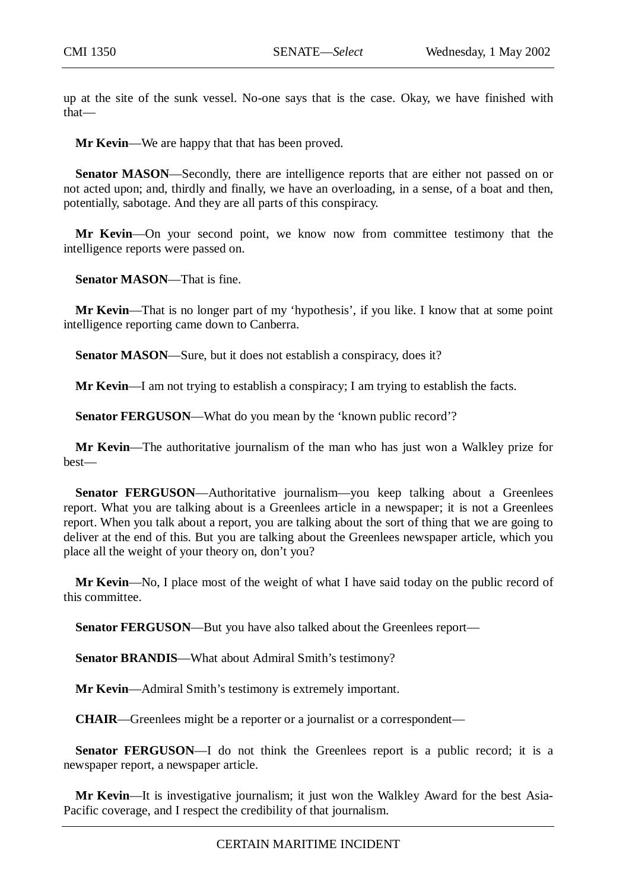up at the site of the sunk vessel. No-one says that is the case. Okay, we have finished with that—

**Mr Kevin**—We are happy that that has been proved.

**Senator MASON—Secondly, there are intelligence reports that are either not passed on or** not acted upon; and, thirdly and finally, we have an overloading, in a sense, of a boat and then, potentially, sabotage. And they are all parts of this conspiracy.

**Mr Kevin**—On your second point, we know now from committee testimony that the intelligence reports were passed on.

**Senator MASON**—That is fine.

**Mr Kevin**—That is no longer part of my 'hypothesis', if you like. I know that at some point intelligence reporting came down to Canberra.

**Senator MASON**—Sure, but it does not establish a conspiracy, does it?

**Mr Kevin**—I am not trying to establish a conspiracy; I am trying to establish the facts.

**Senator FERGUSON—What do you mean by the 'known public record'?** 

**Mr Kevin**—The authoritative journalism of the man who has just won a Walkley prize for best—

**Senator FERGUSON—Authoritative journalism—you keep talking about a Greenlees** report. What you are talking about is a Greenlees article in a newspaper; it is not a Greenlees report. When you talk about a report, you are talking about the sort of thing that we are going to deliver at the end of this. But you are talking about the Greenlees newspaper article, which you place all the weight of your theory on, don't you?

**Mr Kevin**—No, I place most of the weight of what I have said today on the public record of this committee.

**Senator FERGUSON**—But you have also talked about the Greenlees report—

**Senator BRANDIS**—What about Admiral Smith's testimony?

**Mr Kevin**—Admiral Smith's testimony is extremely important.

**CHAIR**—Greenlees might be a reporter or a journalist or a correspondent—

**Senator FERGUSON**—I do not think the Greenlees report is a public record; it is a newspaper report, a newspaper article.

**Mr Kevin**—It is investigative journalism; it just won the Walkley Award for the best Asia-Pacific coverage, and I respect the credibility of that journalism.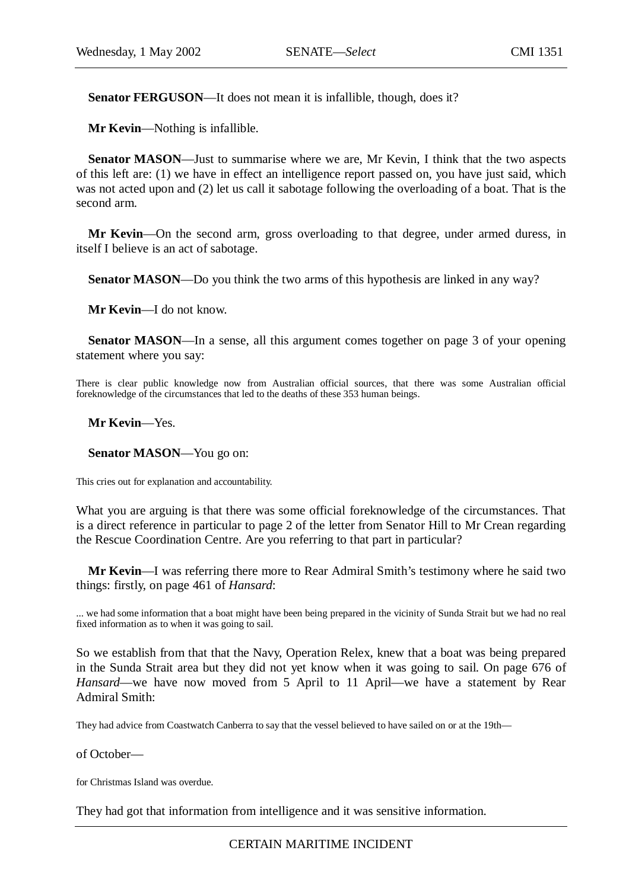**Senator FERGUSON**—It does not mean it is infallible, though, does it?

**Mr Kevin**—Nothing is infallible.

**Senator MASON**—Just to summarise where we are, Mr Kevin, I think that the two aspects of this left are: (1) we have in effect an intelligence report passed on, you have just said, which was not acted upon and (2) let us call it sabotage following the overloading of a boat. That is the second arm.

**Mr Kevin**—On the second arm, gross overloading to that degree, under armed duress, in itself I believe is an act of sabotage.

**Senator MASON—Do** you think the two arms of this hypothesis are linked in any way?

**Mr Kevin**—I do not know.

**Senator MASON—In a sense, all this argument comes together on page 3 of your opening** statement where you say:

There is clear public knowledge now from Australian official sources, that there was some Australian official foreknowledge of the circumstances that led to the deaths of these 353 human beings.

**Mr Kevin**—Yes.

**Senator MASON**—You go on:

This cries out for explanation and accountability.

What you are arguing is that there was some official foreknowledge of the circumstances. That is a direct reference in particular to page 2 of the letter from Senator Hill to Mr Crean regarding the Rescue Coordination Centre. Are you referring to that part in particular?

**Mr Kevin**—I was referring there more to Rear Admiral Smith's testimony where he said two things: firstly, on page 461 of *Hansard*:

... we had some information that a boat might have been being prepared in the vicinity of Sunda Strait but we had no real fixed information as to when it was going to sail.

So we establish from that that the Navy, Operation Relex, knew that a boat was being prepared in the Sunda Strait area but they did not yet know when it was going to sail. On page 676 of *Hansard*—we have now moved from 5 April to 11 April—we have a statement by Rear Admiral Smith:

They had advice from Coastwatch Canberra to say that the vessel believed to have sailed on or at the 19th—

of October—

for Christmas Island was overdue.

They had got that information from intelligence and it was sensitive information.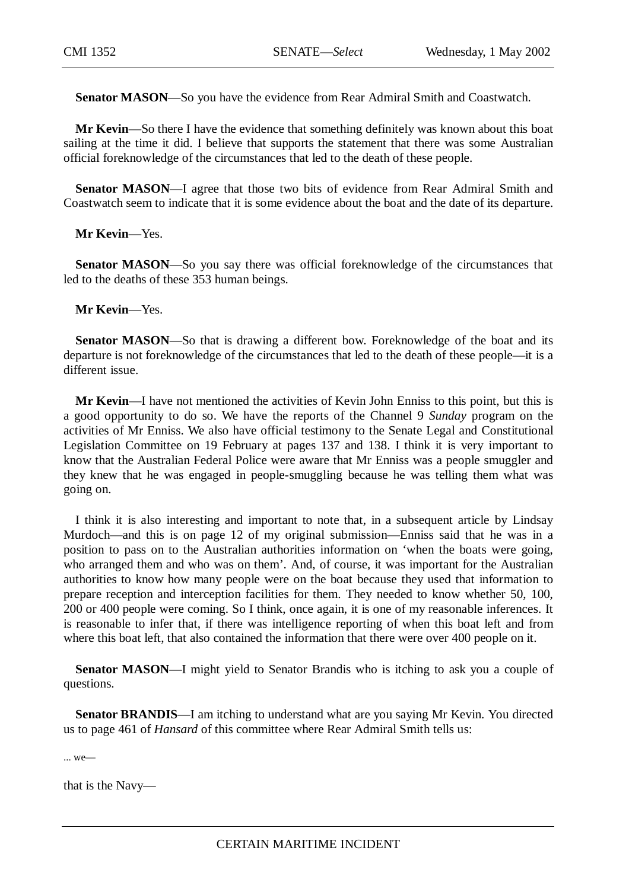**Senator MASON**—So you have the evidence from Rear Admiral Smith and Coastwatch.

**Mr Kevin**—So there I have the evidence that something definitely was known about this boat sailing at the time it did. I believe that supports the statement that there was some Australian official foreknowledge of the circumstances that led to the death of these people.

**Senator MASON—I** agree that those two bits of evidence from Rear Admiral Smith and Coastwatch seem to indicate that it is some evidence about the boat and the date of its departure.

**Mr Kevin**—Yes.

**Senator MASON**—So you say there was official foreknowledge of the circumstances that led to the deaths of these 353 human beings.

**Mr Kevin**—Yes.

**Senator MASON—So that is drawing a different bow. Foreknowledge of the boat and its** departure is not foreknowledge of the circumstances that led to the death of these people—it is a different issue.

**Mr Kevin**—I have not mentioned the activities of Kevin John Enniss to this point, but this is a good opportunity to do so. We have the reports of the Channel 9 *Sunday* program on the activities of Mr Enniss. We also have official testimony to the Senate Legal and Constitutional Legislation Committee on 19 February at pages 137 and 138. I think it is very important to know that the Australian Federal Police were aware that Mr Enniss was a people smuggler and they knew that he was engaged in people-smuggling because he was telling them what was going on.

I think it is also interesting and important to note that, in a subsequent article by Lindsay Murdoch—and this is on page 12 of my original submission—Enniss said that he was in a position to pass on to the Australian authorities information on 'when the boats were going, who arranged them and who was on them'. And, of course, it was important for the Australian authorities to know how many people were on the boat because they used that information to prepare reception and interception facilities for them. They needed to know whether 50, 100, 200 or 400 people were coming. So I think, once again, it is one of my reasonable inferences. It is reasonable to infer that, if there was intelligence reporting of when this boat left and from where this boat left, that also contained the information that there were over 400 people on it.

**Senator MASON—I** might yield to Senator Brandis who is itching to ask you a couple of questions.

**Senator BRANDIS**—I am itching to understand what are you saying Mr Kevin. You directed us to page 461 of *Hansard* of this committee where Rear Admiral Smith tells us:

... we—

that is the Navy—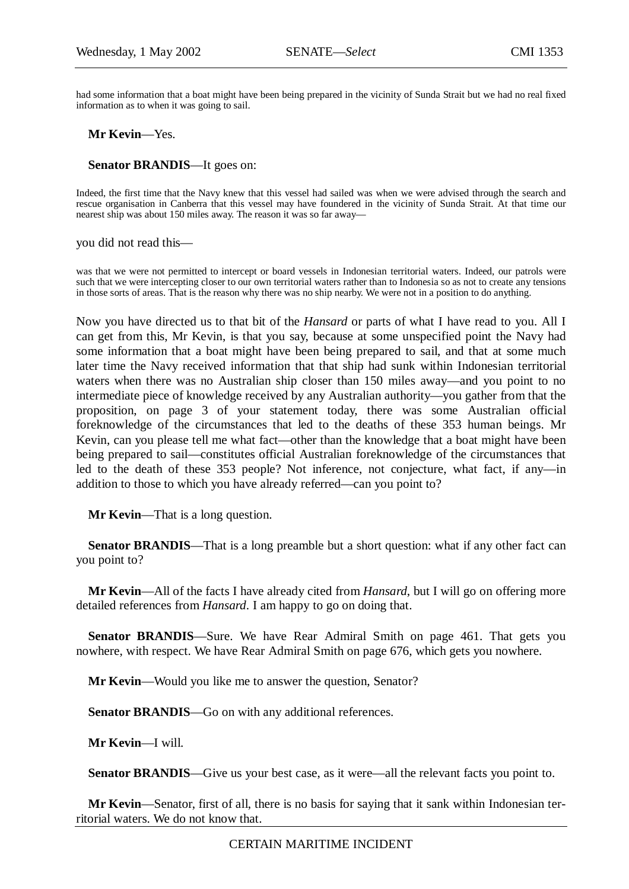had some information that a boat might have been being prepared in the vicinity of Sunda Strait but we had no real fixed information as to when it was going to sail.

**Mr Kevin**—Yes.

**Senator BRANDIS**—It goes on:

Indeed, the first time that the Navy knew that this vessel had sailed was when we were advised through the search and rescue organisation in Canberra that this vessel may have foundered in the vicinity of Sunda Strait. At that time our nearest ship was about 150 miles away. The reason it was so far away—

you did not read this—

was that we were not permitted to intercept or board vessels in Indonesian territorial waters. Indeed, our patrols were such that we were intercepting closer to our own territorial waters rather than to Indonesia so as not to create any tensions in those sorts of areas. That is the reason why there was no ship nearby. We were not in a position to do anything.

Now you have directed us to that bit of the *Hansard* or parts of what I have read to you. All I can get from this, Mr Kevin, is that you say, because at some unspecified point the Navy had some information that a boat might have been being prepared to sail, and that at some much later time the Navy received information that that ship had sunk within Indonesian territorial waters when there was no Australian ship closer than 150 miles away—and you point to no intermediate piece of knowledge received by any Australian authority—you gather from that the proposition, on page 3 of your statement today, there was some Australian official foreknowledge of the circumstances that led to the deaths of these 353 human beings. Mr Kevin, can you please tell me what fact—other than the knowledge that a boat might have been being prepared to sail—constitutes official Australian foreknowledge of the circumstances that led to the death of these 353 people? Not inference, not conjecture, what fact, if any—in addition to those to which you have already referred—can you point to?

**Mr Kevin**—That is a long question.

**Senator BRANDIS—That is a long preamble but a short question: what if any other fact can** you point to?

**Mr Kevin**—All of the facts I have already cited from *Hansard*, but I will go on offering more detailed references from *Hansard*. I am happy to go on doing that.

**Senator BRANDIS**—Sure. We have Rear Admiral Smith on page 461. That gets you nowhere, with respect. We have Rear Admiral Smith on page 676, which gets you nowhere.

**Mr Kevin**—Would you like me to answer the question, Senator?

Senator BRANDIS—Go on with any additional references.

**Mr Kevin**—I will.

**Senator BRANDIS**—Give us your best case, as it were—all the relevant facts you point to.

**Mr Kevin**—Senator, first of all, there is no basis for saying that it sank within Indonesian territorial waters. We do not know that.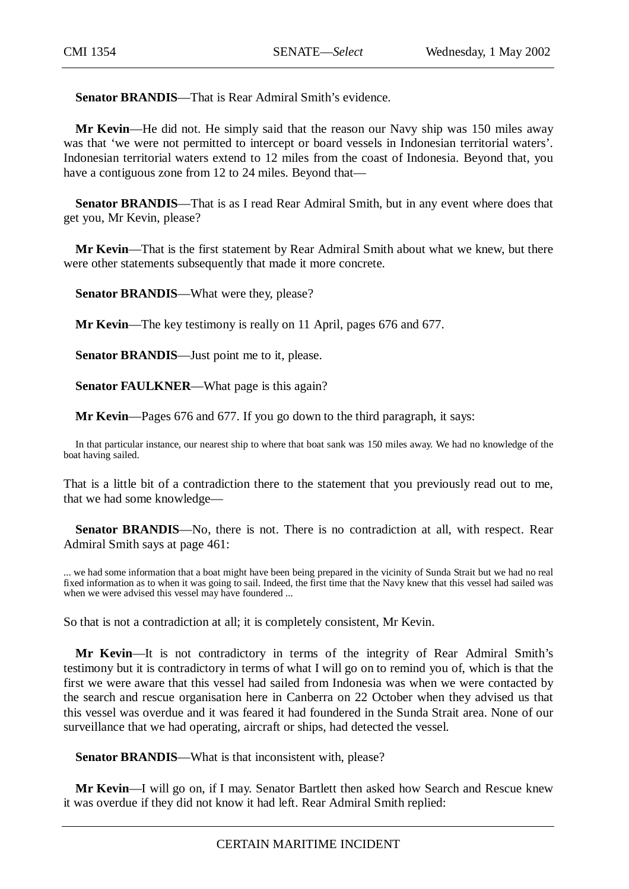**Senator BRANDIS**—That is Rear Admiral Smith's evidence.

**Mr Kevin**—He did not. He simply said that the reason our Navy ship was 150 miles away was that 'we were not permitted to intercept or board vessels in Indonesian territorial waters'. Indonesian territorial waters extend to 12 miles from the coast of Indonesia. Beyond that, you have a contiguous zone from 12 to 24 miles. Beyond that—

**Senator BRANDIS—That is as I read Rear Admiral Smith, but in any event where does that** get you, Mr Kevin, please?

**Mr Kevin**—That is the first statement by Rear Admiral Smith about what we knew, but there were other statements subsequently that made it more concrete.

**Senator BRANDIS**—What were they, please?

**Mr Kevin**—The key testimony is really on 11 April, pages 676 and 677.

**Senator BRANDIS**—Just point me to it, please.

**Senator FAULKNER—What page is this again?** 

**Mr Kevin**—Pages 676 and 677. If you go down to the third paragraph, it says:

In that particular instance, our nearest ship to where that boat sank was 150 miles away. We had no knowledge of the boat having sailed.

That is a little bit of a contradiction there to the statement that you previously read out to me, that we had some knowledge—

**Senator BRANDIS**—No, there is not. There is no contradiction at all, with respect. Rear Admiral Smith says at page 461:

... we had some information that a boat might have been being prepared in the vicinity of Sunda Strait but we had no real fixed information as to when it was going to sail. Indeed, the first time that the Navy knew that this vessel had sailed was when we were advised this vessel may have foundered ...

So that is not a contradiction at all; it is completely consistent, Mr Kevin.

**Mr Kevin**—It is not contradictory in terms of the integrity of Rear Admiral Smith's testimony but it is contradictory in terms of what I will go on to remind you of, which is that the first we were aware that this vessel had sailed from Indonesia was when we were contacted by the search and rescue organisation here in Canberra on 22 October when they advised us that this vessel was overdue and it was feared it had foundered in the Sunda Strait area. None of our surveillance that we had operating, aircraft or ships, had detected the vessel.

**Senator BRANDIS—What is that inconsistent with, please?** 

**Mr Kevin**—I will go on, if I may. Senator Bartlett then asked how Search and Rescue knew it was overdue if they did not know it had left. Rear Admiral Smith replied: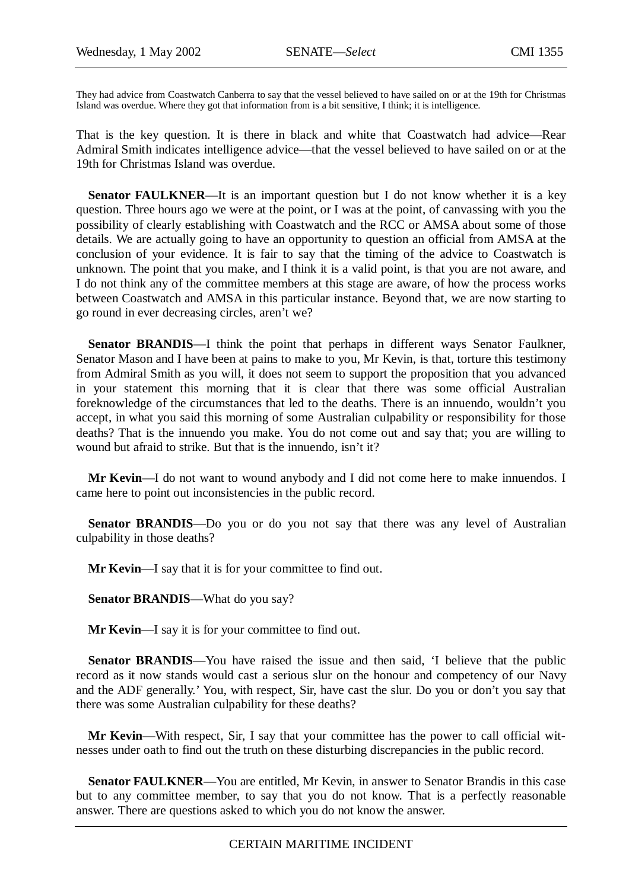They had advice from Coastwatch Canberra to say that the vessel believed to have sailed on or at the 19th for Christmas Island was overdue. Where they got that information from is a bit sensitive, I think; it is intelligence.

That is the key question. It is there in black and white that Coastwatch had advice—Rear Admiral Smith indicates intelligence advice—that the vessel believed to have sailed on or at the 19th for Christmas Island was overdue.

**Senator FAULKNER—It** is an important question but I do not know whether it is a key question. Three hours ago we were at the point, or I was at the point, of canvassing with you the possibility of clearly establishing with Coastwatch and the RCC or AMSA about some of those details. We are actually going to have an opportunity to question an official from AMSA at the conclusion of your evidence. It is fair to say that the timing of the advice to Coastwatch is unknown. The point that you make, and I think it is a valid point, is that you are not aware, and I do not think any of the committee members at this stage are aware, of how the process works between Coastwatch and AMSA in this particular instance. Beyond that, we are now starting to go round in ever decreasing circles, aren't we?

**Senator BRANDIS**—I think the point that perhaps in different ways Senator Faulkner, Senator Mason and I have been at pains to make to you, Mr Kevin, is that, torture this testimony from Admiral Smith as you will, it does not seem to support the proposition that you advanced in your statement this morning that it is clear that there was some official Australian foreknowledge of the circumstances that led to the deaths. There is an innuendo, wouldn't you accept, in what you said this morning of some Australian culpability or responsibility for those deaths? That is the innuendo you make. You do not come out and say that; you are willing to wound but afraid to strike. But that is the innuendo, isn't it?

**Mr Kevin**—I do not want to wound anybody and I did not come here to make innuendos. I came here to point out inconsistencies in the public record.

**Senator BRANDIS**—Do you or do you not say that there was any level of Australian culpability in those deaths?

**Mr Kevin**—I say that it is for your committee to find out.

**Senator BRANDIS**—What do you say?

**Mr Kevin**—I say it is for your committee to find out.

**Senator BRANDIS—You** have raised the issue and then said, 'I believe that the public record as it now stands would cast a serious slur on the honour and competency of our Navy and the ADF generally.' You, with respect, Sir, have cast the slur. Do you or don't you say that there was some Australian culpability for these deaths?

**Mr Kevin**—With respect, Sir, I say that your committee has the power to call official witnesses under oath to find out the truth on these disturbing discrepancies in the public record.

**Senator FAULKNER**—You are entitled, Mr Kevin, in answer to Senator Brandis in this case but to any committee member, to say that you do not know. That is a perfectly reasonable answer. There are questions asked to which you do not know the answer.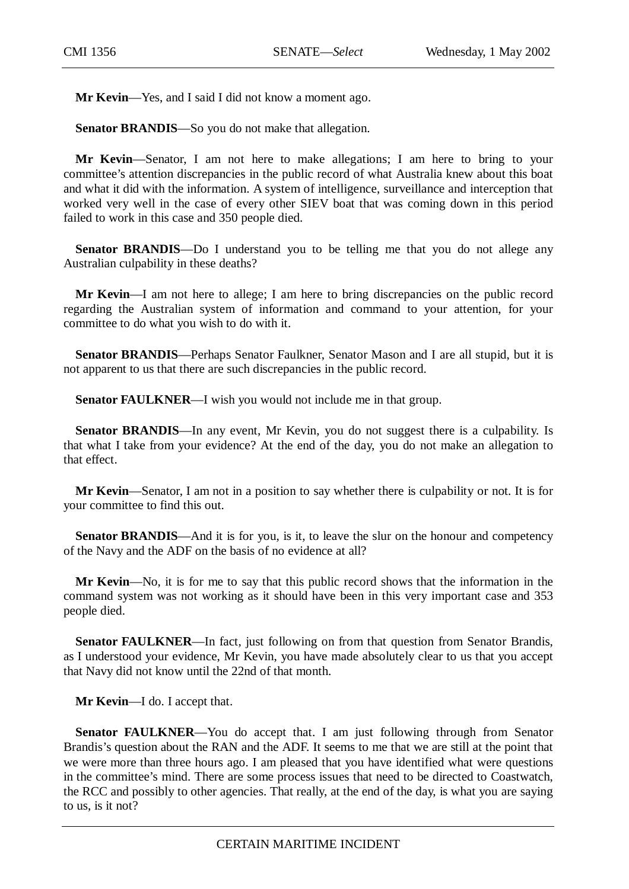**Mr Kevin**—Yes, and I said I did not know a moment ago.

**Senator BRANDIS**—So you do not make that allegation.

**Mr Kevin**—Senator, I am not here to make allegations; I am here to bring to your committee's attention discrepancies in the public record of what Australia knew about this boat and what it did with the information. A system of intelligence, surveillance and interception that worked very well in the case of every other SIEV boat that was coming down in this period failed to work in this case and 350 people died.

**Senator BRANDIS—Do** I understand you to be telling me that you do not allege any Australian culpability in these deaths?

**Mr Kevin**—I am not here to allege; I am here to bring discrepancies on the public record regarding the Australian system of information and command to your attention, for your committee to do what you wish to do with it.

**Senator BRANDIS**—Perhaps Senator Faulkner, Senator Mason and I are all stupid, but it is not apparent to us that there are such discrepancies in the public record.

**Senator FAULKNER**—I wish you would not include me in that group.

Senator BRANDIS—In any event, Mr Kevin, you do not suggest there is a culpability. Is that what I take from your evidence? At the end of the day, you do not make an allegation to that effect.

**Mr Kevin**—Senator, I am not in a position to say whether there is culpability or not. It is for your committee to find this out.

**Senator BRANDIS—And it is for you, is it, to leave the slur on the honour and competency** of the Navy and the ADF on the basis of no evidence at all?

**Mr Kevin**—No, it is for me to say that this public record shows that the information in the command system was not working as it should have been in this very important case and 353 people died.

**Senator FAULKNER—In fact, just following on from that question from Senator Brandis,** as I understood your evidence, Mr Kevin, you have made absolutely clear to us that you accept that Navy did not know until the 22nd of that month.

**Mr Kevin**—I do. I accept that.

**Senator FAULKNER**—You do accept that. I am just following through from Senator Brandis's question about the RAN and the ADF. It seems to me that we are still at the point that we were more than three hours ago. I am pleased that you have identified what were questions in the committee's mind. There are some process issues that need to be directed to Coastwatch, the RCC and possibly to other agencies. That really, at the end of the day, is what you are saying to us, is it not?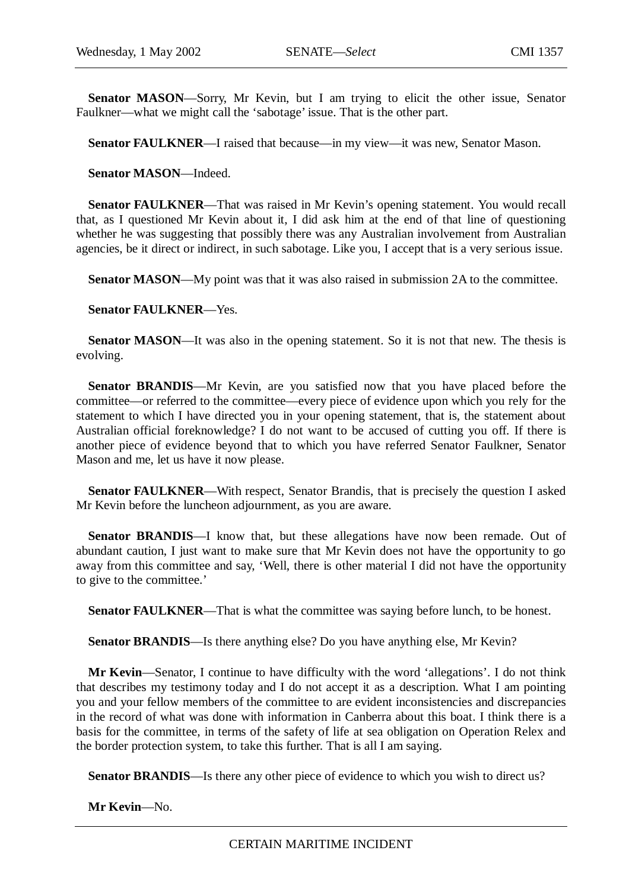**Senator MASON**—Sorry, Mr Kevin, but I am trying to elicit the other issue, Senator Faulkner—what we might call the 'sabotage' issue. That is the other part.

**Senator FAULKNER**—I raised that because—in my view—it was new, Senator Mason.

**Senator MASON**—Indeed.

**Senator FAULKNER**—That was raised in Mr Kevin's opening statement. You would recall that, as I questioned Mr Kevin about it, I did ask him at the end of that line of questioning whether he was suggesting that possibly there was any Australian involvement from Australian agencies, be it direct or indirect, in such sabotage. Like you, I accept that is a very serious issue.

**Senator MASON—My point was that it was also raised in submission 2A to the committee.** 

**Senator FAULKNER**—Yes.

**Senator MASON—It** was also in the opening statement. So it is not that new. The thesis is evolving.

**Senator BRANDIS—Mr** Kevin, are you satisfied now that you have placed before the committee—or referred to the committee—every piece of evidence upon which you rely for the statement to which I have directed you in your opening statement, that is, the statement about Australian official foreknowledge? I do not want to be accused of cutting you off. If there is another piece of evidence beyond that to which you have referred Senator Faulkner, Senator Mason and me, let us have it now please.

**Senator FAULKNER—With respect, Senator Brandis, that is precisely the question I asked** Mr Kevin before the luncheon adjournment, as you are aware.

Senator BRANDIS—I know that, but these allegations have now been remade. Out of abundant caution, I just want to make sure that Mr Kevin does not have the opportunity to go away from this committee and say, 'Well, there is other material I did not have the opportunity to give to the committee.'

**Senator FAULKNER—That is what the committee was saying before lunch, to be honest.** 

**Senator BRANDIS—Is there anything else? Do you have anything else, Mr Kevin?** 

**Mr Kevin**—Senator, I continue to have difficulty with the word 'allegations'. I do not think that describes my testimony today and I do not accept it as a description. What I am pointing you and your fellow members of the committee to are evident inconsistencies and discrepancies in the record of what was done with information in Canberra about this boat. I think there is a basis for the committee, in terms of the safety of life at sea obligation on Operation Relex and the border protection system, to take this further. That is all I am saying.

**Senator BRANDIS**—Is there any other piece of evidence to which you wish to direct us?

**Mr Kevin**—No.